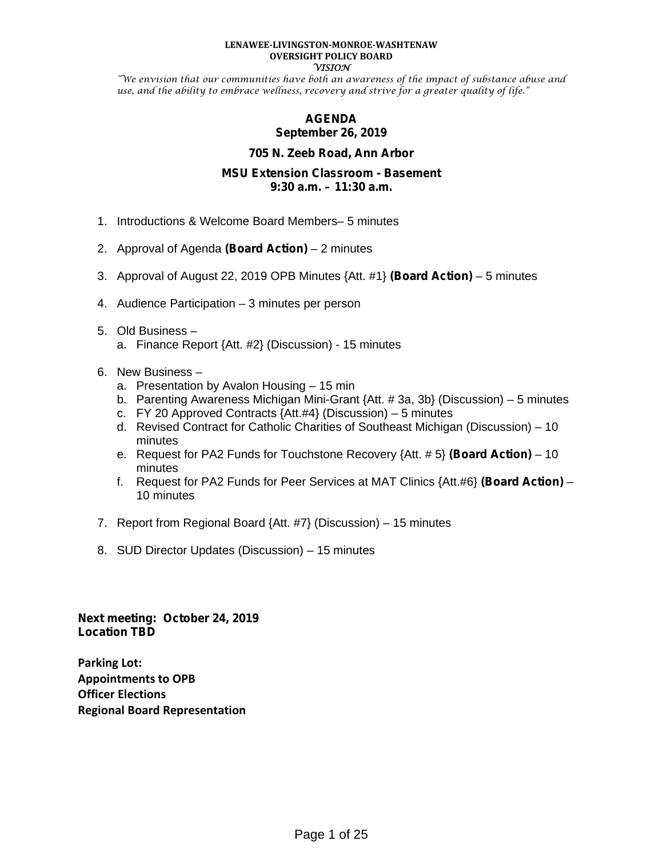#### **LENAWEE-LIVINGSTON-MONROE-WASHTENAW OVERSIGHT POLICY BOARD VISION**

"We envision that our communities have both an awareness of the impact of substance abuse and use, and the ability to embrace wellness, recovery and strive for a greater quality of life."

## **AGENDA September 26, 2019**

#### **705 N. Zeeb Road, Ann Arbor**

#### **MSU Extension Classroom - Basement 9:30 a.m. – 11:30 a.m.**

- 1. Introductions & Welcome Board Members– 5 minutes
- 2. Approval of Agenda **(Board Action)** 2 minutes
- 3. Approval of August 22, 2019 OPB Minutes {Att. #1} **(Board Action)** 5 minutes
- 4. Audience Participation 3 minutes per person
- 5. Old Business
	- a. Finance Report {Att. #2} (Discussion) 15 minutes
- 6. New Business
	- a. Presentation by Avalon Housing 15 min
	- b. Parenting Awareness Michigan Mini-Grant {Att. # 3a, 3b} (Discussion) 5 minutes
	- c. FY 20 Approved Contracts  $\{Att.t4\}$  (Discussion) 5 minutes
	- d. Revised Contract for Catholic Charities of Southeast Michigan (Discussion) 10 minutes
	- e. Request for PA2 Funds for Touchstone Recovery {Att. # 5} **(Board Action)** 10 minutes
	- f. Request for PA2 Funds for Peer Services at MAT Clinics {Att.#6} **(Board Action)** 10 minutes
- 7. Report from Regional Board {Att. #7} (Discussion) 15 minutes
- 8. SUD Director Updates (Discussion) 15 minutes

**Next meeting: October 24, 2019 Location TBD**

**Parking Lot: Appointments to OPB Officer Elections Regional Board Representation**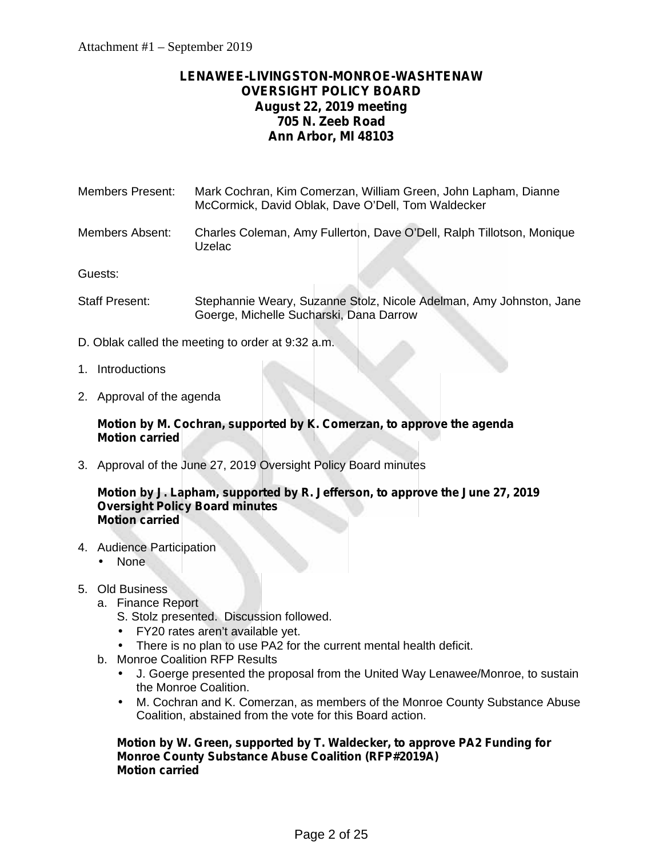# **LENAWEE-LIVINGSTON-MONROE-WASHTENAW OVERSIGHT POLICY BOARD August 22, 2019 meeting 705 N. Zeeb Road Ann Arbor, MI 48103**

- Members Present: Mark Cochran, Kim Comerzan, William Green, John Lapham, Dianne McCormick, David Oblak, Dave O'Dell, Tom Waldecker
- Members Absent: Charles Coleman, Amy Fullerton, Dave O'Dell, Ralph Tillotson, Monique Uzelac

Guests:

- Staff Present: Stephannie Weary, Suzanne Stolz, Nicole Adelman, Amy Johnston, Jane Goerge, Michelle Sucharski, Dana Darrow
- D. Oblak called the meeting to order at 9:32 a.m.
- 1. Introductions
- 2. Approval of the agenda

## **Motion by M. Cochran, supported by K. Comerzan, to approve the agenda Motion carried**

3. Approval of the June 27, 2019 Oversight Policy Board minutes

#### **Motion by J. Lapham, supported by R. Jefferson, to approve the June 27, 2019 Oversight Policy Board minutes Motion carried**

- 4. Audience Participation None
- 5. Old Business
	- a. Finance Report
		- S. Stolz presented. Discussion followed.
		- FY20 rates aren't available yet.
		- There is no plan to use PA2 for the current mental health deficit.
	- b. Monroe Coalition RFP Results
		- J. Goerge presented the proposal from the United Way Lenawee/Monroe, to sustain the Monroe Coalition.
		- M. Cochran and K. Comerzan, as members of the Monroe County Substance Abuse Coalition, abstained from the vote for this Board action.

**Motion by W. Green, supported by T. Waldecker, to approve PA2 Funding for Monroe County Substance Abuse Coalition (RFP#2019A) Motion carried**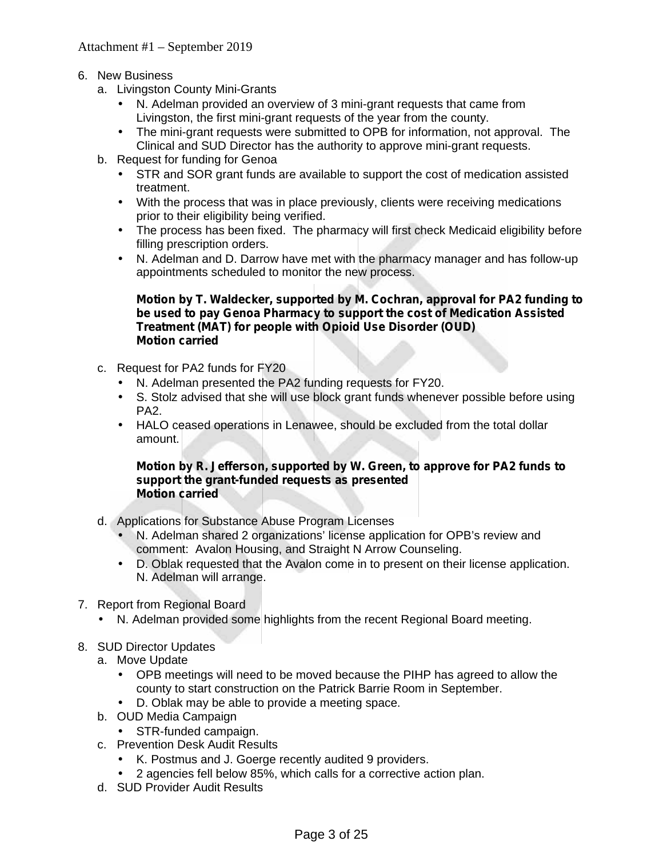- 6. New Business
	- a. Livingston County Mini-Grants
		- N. Adelman provided an overview of 3 mini-grant requests that came from Livingston, the first mini-grant requests of the year from the county.
		- The mini-grant requests were submitted to OPB for information, not approval. The Clinical and SUD Director has the authority to approve mini-grant requests.
	- b. Request for funding for Genoa
		- STR and SOR grant funds are available to support the cost of medication assisted treatment.
		- With the process that was in place previously, clients were receiving medications prior to their eligibility being verified.
		- The process has been fixed. The pharmacy will first check Medicaid eligibility before filling prescription orders.
		- N. Adelman and D. Darrow have met with the pharmacy manager and has follow-up appointments scheduled to monitor the new process.

### **Motion by T. Waldecker, supported by M. Cochran, approval for PA2 funding to be used to pay Genoa Pharmacy to support the cost of Medication Assisted Treatment (MAT) for people with Opioid Use Disorder (OUD) Motion carried**

- c. Request for PA2 funds for FY20
	- N. Adelman presented the PA2 funding requests for FY20.
	- S. Stolz advised that she will use block grant funds whenever possible before using PA2.
	- HALO ceased operations in Lenawee, should be excluded from the total dollar amount.

#### **Motion by R. Jefferson, supported by W. Green, to approve for PA2 funds to support the grant-funded requests as presented Motion carried**

- d. Applications for Substance Abuse Program Licenses
	- N. Adelman shared 2 organizations' license application for OPB's review and comment: Avalon Housing, and Straight N Arrow Counseling.
	- D. Oblak requested that the Avalon come in to present on their license application. N. Adelman will arrange.
- 7. Report from Regional Board
	- N. Adelman provided some highlights from the recent Regional Board meeting.
- 8. SUD Director Updates
	- a. Move Update
		- OPB meetings will need to be moved because the PIHP has agreed to allow the county to start construction on the Patrick Barrie Room in September.
		- D. Oblak may be able to provide a meeting space.
	- b. OUD Media Campaign
	- STR-funded campaign.
	- c. Prevention Desk Audit Results
		- K. Postmus and J. Goerge recently audited 9 providers.
		- 2 agencies fell below 85%, which calls for a corrective action plan.
	- d. SUD Provider Audit Results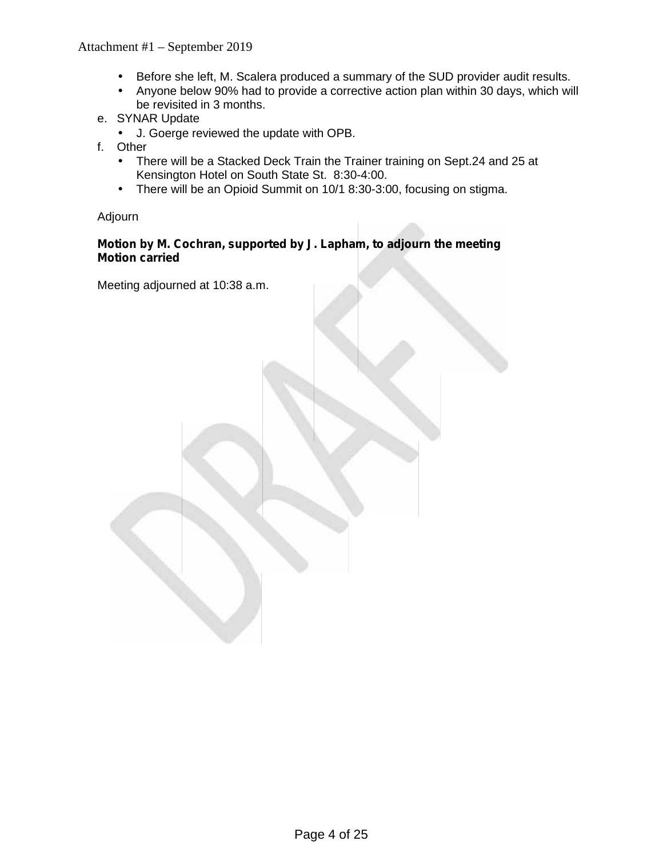- Before she left, M. Scalera produced a summary of the SUD provider audit results.<br>Anyone below 90% had to provide a corrective action plan within 30 days, which wil
	- Anyone below 90% had to provide a corrective action plan within 30 days, which will be revisited in 3 months.
- e. SYNAR Update
	- J. Goerge reviewed the update with OPB.
- f. Other
	- There will be a Stacked Deck Train the Trainer training on Sept.24 and 25 at Kensington Hotel on South State St. 8:30-4:00.
	- There will be an Opioid Summit on 10/1 8:30-3:00, focusing on stigma.

Adjourn

# **Motion by M. Cochran, supported by J. Lapham, to adjourn the meeting Motion carried**

Meeting adjourned at 10:38 a.m.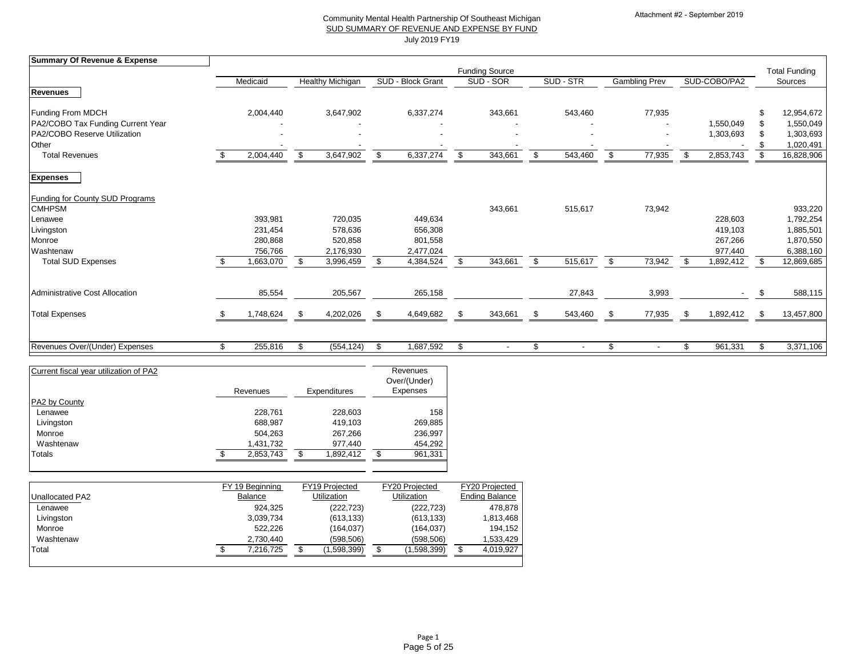| <b>Summary Of Revenue &amp; Expense</b> |               |                         |                            |                   |                            |                       |                           |           |                           |                      |     |              |                           |                      |
|-----------------------------------------|---------------|-------------------------|----------------------------|-------------------|----------------------------|-----------------------|---------------------------|-----------|---------------------------|----------------------|-----|--------------|---------------------------|----------------------|
|                                         |               |                         |                            |                   |                            | <b>Funding Source</b> |                           |           |                           |                      |     |              |                           | <b>Total Funding</b> |
|                                         | Medicaid      | <b>Healthy Michigan</b> |                            | SUD - Block Grant |                            | SUD - SOR             |                           | SUD - STR |                           | <b>Gambling Prev</b> |     | SUD-COBO/PA2 |                           | Sources              |
| <b>Revenues</b>                         |               |                         |                            |                   |                            |                       |                           |           |                           |                      |     |              |                           |                      |
| <b>Funding From MDCH</b>                | 2,004,440     | 3,647,902               |                            | 6,337,274         |                            | 343,661               |                           | 543,460   |                           | 77,935               |     |              |                           | 12,954,672           |
| PA2/COBO Tax Funding Current Year       |               |                         |                            |                   |                            |                       |                           |           |                           |                      |     | 1,550,049    |                           | 1,550,049            |
| PA2/COBO Reserve Utilization            |               |                         |                            |                   |                            |                       |                           |           |                           |                      |     | 1,303,693    | -S                        | 1,303,693            |
| Other                                   |               |                         |                            |                   |                            |                       |                           |           |                           |                      |     |              |                           | 1,020,491            |
| <b>Total Revenues</b>                   | 2,004,440     | \$<br>3,647,902         | $\boldsymbol{\mathsf{\$}}$ | 6,337,274         | $\boldsymbol{\mathsf{\$}}$ | 343,661               | $\boldsymbol{\mathsf{S}}$ | 543,460   | $\boldsymbol{\mathsf{S}}$ | 77,935               |     | 2,853,743    | $\boldsymbol{\mathsf{S}}$ | 16,828,906           |
| <b>Expenses</b>                         |               |                         |                            |                   |                            |                       |                           |           |                           |                      |     |              |                           |                      |
| <b>Funding for County SUD Programs</b>  |               |                         |                            |                   |                            |                       |                           |           |                           |                      |     |              |                           |                      |
| <b>CMHPSM</b>                           |               |                         |                            |                   |                            | 343,661               |                           | 515,617   |                           | 73,942               |     |              |                           | 933,220              |
| Lenawee                                 | 393,981       | 720,035                 |                            | 449,634           |                            |                       |                           |           |                           |                      |     | 228,603      |                           | 1,792,254            |
| Livingston                              | 231,454       | 578,636                 |                            | 656,308           |                            |                       |                           |           |                           |                      |     | 419,103      |                           | 1,885,501            |
| Monroe                                  | 280,868       | 520,858                 |                            | 801,558           |                            |                       |                           |           |                           |                      |     | 267,266      |                           | 1,870,550            |
| Washtenaw                               | 756,766       | 2,176,930               |                            | 2,477,024         |                            |                       |                           |           |                           |                      |     | 977,440      |                           | 6,388,160            |
| <b>Total SUD Expenses</b>               | 663,070,      | \$<br>3,996,459         | \$                         | 4,384,524         | \$                         | 343,661               | $\sqrt[6]{2}$             | 515,617   | $\frac{1}{2}$             | 73,942               | -\$ | 1,892,412    | \$                        | 12,869,685           |
| <b>Administrative Cost Allocation</b>   | 85,554        | 205,567                 |                            | 265,158           |                            |                       |                           | 27,843    |                           | 3,993                |     | $\sim$       | \$                        | 588,115              |
|                                         |               |                         |                            |                   |                            |                       |                           |           |                           |                      |     |              |                           |                      |
| <b>Total Expenses</b>                   | 1,748,624     | \$<br>4,202,026         | \$                         | 4,649,682         | \$                         | 343,661               | $\sqrt[6]{2}$             | 543,460   | \$                        | 77,935               | -\$ | 1,892,412    | \$                        | 13,457,800           |
|                                         |               |                         |                            |                   |                            |                       |                           |           |                           |                      |     |              |                           |                      |
| Revenues Over/(Under) Expenses          | \$<br>255,816 | \$<br>(554, 124)        | \$                         | 1,687,592         | $\boldsymbol{\mathcal{L}}$ |                       | \$                        |           | \$                        |                      | ß.  | 961,331      | \$                        | 3,371,106            |

| Current fiscal year utilization of PA2 | Revenues  | <b>Expenditures</b> | Revenues<br>Over/(Under)<br><b>Expenses</b> |
|----------------------------------------|-----------|---------------------|---------------------------------------------|
| <b>PA2 by County</b>                   |           |                     |                                             |
| Lenawee                                | 228,761   | 228,603             | 158                                         |
| Livingston                             | 688,987   | 419,103             | 269,885                                     |
| Monroe                                 | 504,263   | 267,266             | 236,997                                     |
| Washtenaw                              | 1,431,732 | 977,440             | 454,292                                     |
| <b>Totals</b>                          | 2,853,743 | S<br>1,892,412      | 961,331                                     |

|                        | FY 19 Beginning | FY19 Projected     | FY20 Projected     | FY20 Projected        |
|------------------------|-----------------|--------------------|--------------------|-----------------------|
| <b>Unallocated PA2</b> | <b>Balance</b>  | <b>Utilization</b> | <b>Utilization</b> | <b>Ending Balance</b> |
| Lenawee                | 924,325         | (222, 723)         | (222, 723)         | 478,878               |
| Livingston             | 3,039,734       | (613, 133)         | (613, 133)         | 1,813,468             |
| Monroe                 | 522,226         | (164,037)          | (164,037)          | 194,152               |
| Washtenaw              | 2,730,440       | (598, 506)         | (598, 506)         | 1,533,429             |
| Total                  | 7,216,725       | 1,598,399)         | (1,598,399)        | 4,019,927             |
|                        |                 |                    |                    |                       |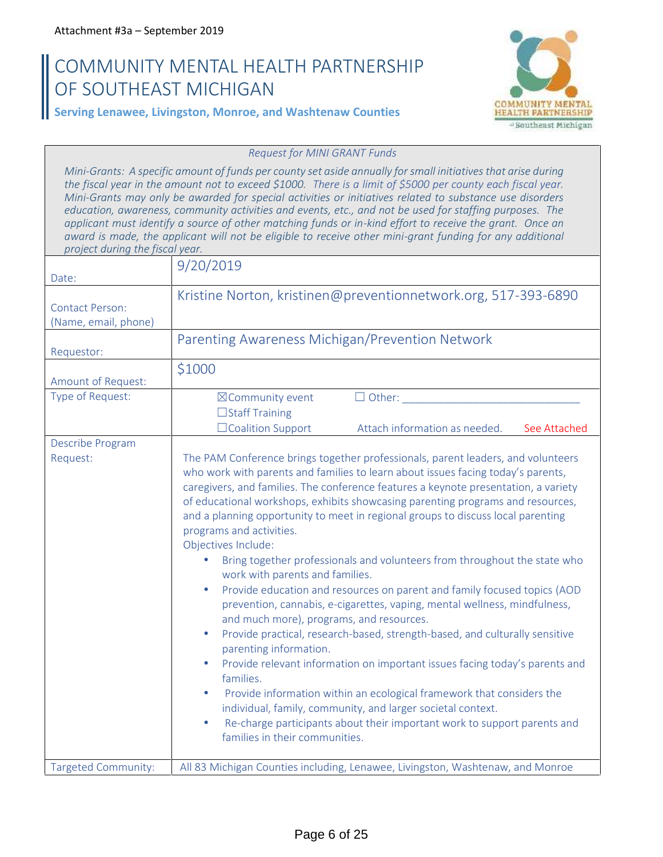# **COMMUNITY MENTAL HEALTH PARTNERSHIP OF SOUTHEAST MICHIGAN**



**Serving Lenawee, Livingston, Monroe, and Washtenaw Counties**

#### *Request for MINI GRANT Funds*

*Mini-Grants: A specific amount of funds per county set aside annually for small initiatives that arise during the fiscal year in the amount not to exceed \$1000. There is a limit of \$5000 per county each fiscal year. Mini-Grants may only be awarded for special activities or initiatives related to substance use disorders education, awareness, community activities and events, etc., and not be used for staffing purposes. The applicant must identify a source of other matching funds or in-kind effort to receive the grant. Once an award is made, the applicant will not be eligible to receive other mini-grant funding for any additional project during the fiscal year.*

|                                    | 9/20/2019                                                                                                                                                                                                                                                                                                                                                                                                                                                                                                                                                                                                                                                                                                                                                                                                                                                                                                                                                                                                                                                                                                                                                                                                                                                             |
|------------------------------------|-----------------------------------------------------------------------------------------------------------------------------------------------------------------------------------------------------------------------------------------------------------------------------------------------------------------------------------------------------------------------------------------------------------------------------------------------------------------------------------------------------------------------------------------------------------------------------------------------------------------------------------------------------------------------------------------------------------------------------------------------------------------------------------------------------------------------------------------------------------------------------------------------------------------------------------------------------------------------------------------------------------------------------------------------------------------------------------------------------------------------------------------------------------------------------------------------------------------------------------------------------------------------|
| Date:<br><b>Contact Person:</b>    | Kristine Norton, kristinen@preventionnetwork.org, 517-393-6890                                                                                                                                                                                                                                                                                                                                                                                                                                                                                                                                                                                                                                                                                                                                                                                                                                                                                                                                                                                                                                                                                                                                                                                                        |
| (Name, email, phone)<br>Requestor: | Parenting Awareness Michigan/Prevention Network                                                                                                                                                                                                                                                                                                                                                                                                                                                                                                                                                                                                                                                                                                                                                                                                                                                                                                                                                                                                                                                                                                                                                                                                                       |
| Amount of Request:                 | \$1000                                                                                                                                                                                                                                                                                                                                                                                                                                                                                                                                                                                                                                                                                                                                                                                                                                                                                                                                                                                                                                                                                                                                                                                                                                                                |
| Type of Request:                   | $\Box$ Other:<br>⊠Community event<br>□Staff Training<br>□Coalition Support<br>Attach information as needed.<br>See Attached                                                                                                                                                                                                                                                                                                                                                                                                                                                                                                                                                                                                                                                                                                                                                                                                                                                                                                                                                                                                                                                                                                                                           |
| Describe Program<br>Request:       | The PAM Conference brings together professionals, parent leaders, and volunteers<br>who work with parents and families to learn about issues facing today's parents,<br>caregivers, and families. The conference features a keynote presentation, a variety<br>of educational workshops, exhibits showcasing parenting programs and resources,<br>and a planning opportunity to meet in regional groups to discuss local parenting<br>programs and activities.<br>Objectives Include:<br>Bring together professionals and volunteers from throughout the state who<br>work with parents and families.<br>Provide education and resources on parent and family focused topics (AOD<br>prevention, cannabis, e-cigarettes, vaping, mental wellness, mindfulness,<br>and much more), programs, and resources.<br>Provide practical, research-based, strength-based, and culturally sensitive<br>parenting information.<br>Provide relevant information on important issues facing today's parents and<br>families.<br>Provide information within an ecological framework that considers the<br>individual, family, community, and larger societal context.<br>Re-charge participants about their important work to support parents and<br>families in their communities. |
| <b>Targeted Community:</b>         | All 83 Michigan Counties including, Lenawee, Livingston, Washtenaw, and Monroe                                                                                                                                                                                                                                                                                                                                                                                                                                                                                                                                                                                                                                                                                                                                                                                                                                                                                                                                                                                                                                                                                                                                                                                        |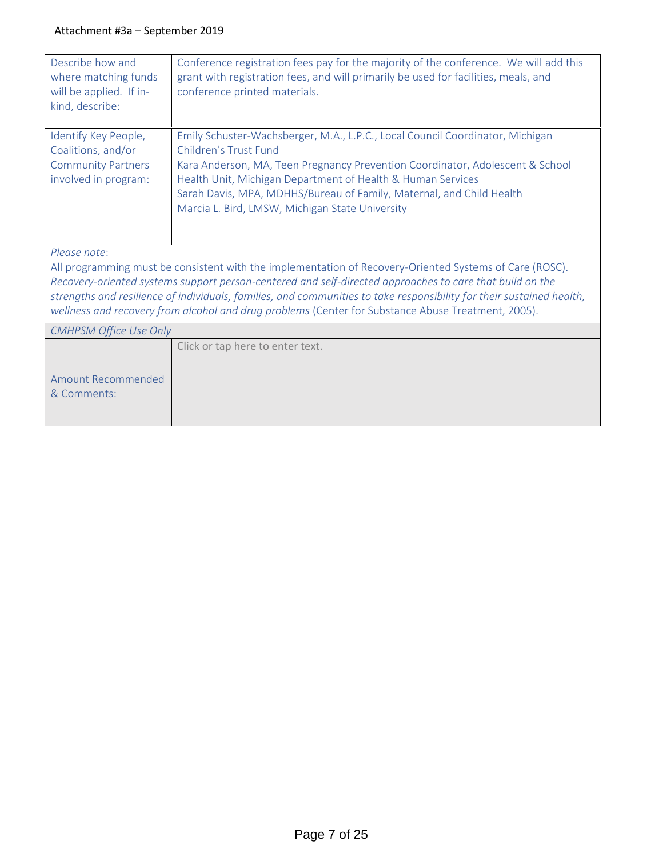| Describe how and<br>where matching funds<br>will be applied. If in-<br>kind, describe:          | Conference registration fees pay for the majority of the conference. We will add this<br>grant with registration fees, and will primarily be used for facilities, meals, and<br>conference printed materials.                                                                                                                                                                                                                                      |
|-------------------------------------------------------------------------------------------------|----------------------------------------------------------------------------------------------------------------------------------------------------------------------------------------------------------------------------------------------------------------------------------------------------------------------------------------------------------------------------------------------------------------------------------------------------|
| Identify Key People,<br>Coalitions, and/or<br><b>Community Partners</b><br>involved in program: | Emily Schuster-Wachsberger, M.A., L.P.C., Local Council Coordinator, Michigan<br>Children's Trust Fund<br>Kara Anderson, MA, Teen Pregnancy Prevention Coordinator, Adolescent & School<br>Health Unit, Michigan Department of Health & Human Services<br>Sarah Davis, MPA, MDHHS/Bureau of Family, Maternal, and Child Health<br>Marcia L. Bird, LMSW, Michigan State University                                                                  |
| Please note:                                                                                    | All programming must be consistent with the implementation of Recovery-Oriented Systems of Care (ROSC).<br>Recovery-oriented systems support person-centered and self-directed approaches to care that build on the<br>strengths and resilience of individuals, families, and communities to take responsibility for their sustained health,<br>wellness and recovery from alcohol and drug problems (Center for Substance Abuse Treatment, 2005). |
| <b>CMHPSM Office Use Only</b>                                                                   |                                                                                                                                                                                                                                                                                                                                                                                                                                                    |
| <b>Amount Recommended</b><br>& Comments:                                                        | Click or tap here to enter text.                                                                                                                                                                                                                                                                                                                                                                                                                   |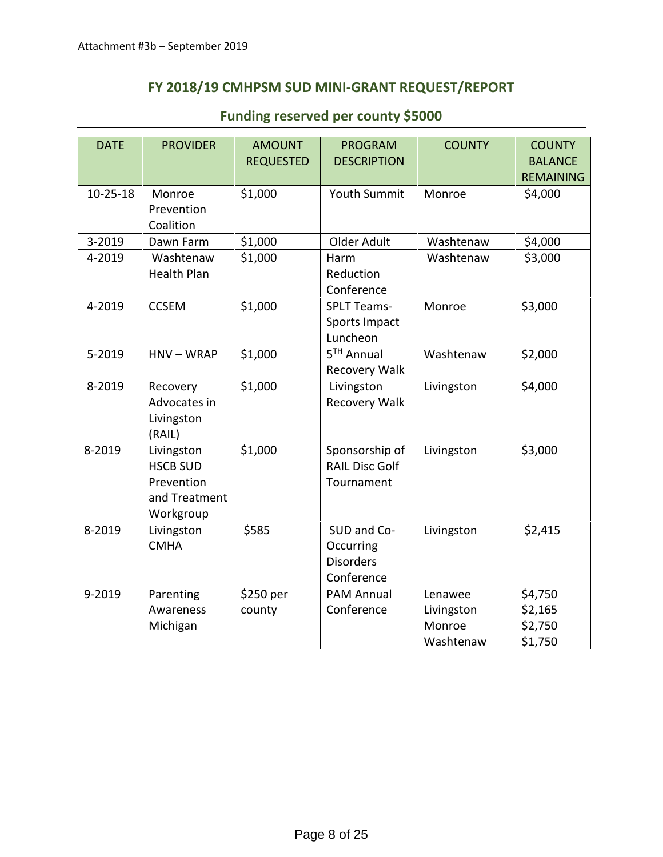# **FY 2018/19 CMHPSM SUD MINI-GRANT REQUEST/REPORT**

| <b>DATE</b> | <b>PROVIDER</b>                                                           | <b>AMOUNT</b><br><b>REQUESTED</b> | <b>PROGRAM</b><br><b>DESCRIPTION</b>                       | <b>COUNTY</b> | <b>COUNTY</b><br><b>BALANCE</b><br><b>REMAINING</b> |
|-------------|---------------------------------------------------------------------------|-----------------------------------|------------------------------------------------------------|---------------|-----------------------------------------------------|
| $10-25-18$  | Monroe<br>Prevention<br>Coalition                                         | \$1,000                           | Youth Summit                                               | Monroe        | \$4,000                                             |
| 3-2019      | Dawn Farm                                                                 | \$1,000                           | Older Adult                                                | Washtenaw     | \$4,000                                             |
| 4-2019      | Washtenaw<br><b>Health Plan</b>                                           | \$1,000                           | Harm<br>Reduction<br>Conference                            | Washtenaw     | \$3,000                                             |
| 4-2019      | <b>CCSEM</b>                                                              | \$1,000                           | <b>SPLT Teams-</b><br>Sports Impact<br>Luncheon            | Monroe        | \$3,000                                             |
| 5-2019      | $HNV-WRAP$                                                                | \$1,000                           | 5 <sup>TH</sup> Annual<br>Recovery Walk                    | Washtenaw     | \$2,000                                             |
| 8-2019      | Recovery<br>Advocates in<br>Livingston<br>(RAIL)                          | \$1,000                           | Livingston<br>Recovery Walk                                | Livingston    | \$4,000                                             |
| 8-2019      | Livingston<br><b>HSCB SUD</b><br>Prevention<br>and Treatment<br>Workgroup | \$1,000                           | Sponsorship of<br><b>RAIL Disc Golf</b><br>Tournament      | Livingston    | \$3,000                                             |
| 8-2019      | Livingston<br><b>CMHA</b>                                                 | \$585                             | SUD and Co-<br>Occurring<br><b>Disorders</b><br>Conference | Livingston    | \$2,415                                             |
| 9-2019      | Parenting                                                                 | \$250 per                         | <b>PAM Annual</b>                                          | Lenawee       | \$4,750                                             |
|             | Awareness                                                                 | county                            | Conference                                                 | Livingston    | \$2,165                                             |
|             | Michigan                                                                  |                                   |                                                            | Monroe        | \$2,750                                             |
|             |                                                                           |                                   |                                                            | Washtenaw     | \$1,750                                             |

# **Funding reserved per county \$5000**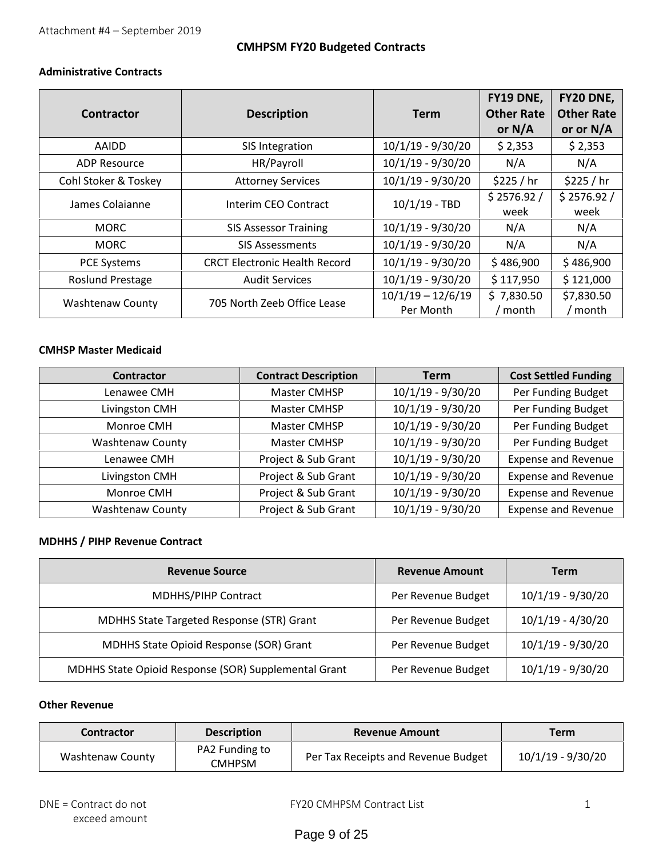# **CMHPSM FY20 Budgeted Contracts**

### **Administrative Contracts**

| Contractor              | <b>Description</b>                   | Term                             | FY19 DNE,<br><b>Other Rate</b><br>or $N/A$ | <b>FY20 DNE,</b><br><b>Other Rate</b><br>or or N/A |
|-------------------------|--------------------------------------|----------------------------------|--------------------------------------------|----------------------------------------------------|
| AAIDD                   | SIS Integration                      | $10/1/19 - 9/30/20$              | \$2,353                                    | \$2,353                                            |
| <b>ADP Resource</b>     | HR/Payroll                           | $10/1/19 - 9/30/20$              | N/A                                        | N/A                                                |
| Cohl Stoker & Toskey    | <b>Attorney Services</b>             | $10/1/19 - 9/30/20$              | \$225 / hr                                 | \$225 / hr                                         |
| James Colaianne         | Interim CEO Contract                 | $10/1/19$ - TBD                  | \$2576.92/<br>week                         | \$2576.92/<br>week                                 |
| <b>MORC</b>             | <b>SIS Assessor Training</b>         | $10/1/19 - 9/30/20$              | N/A                                        | N/A                                                |
| <b>MORC</b>             | <b>SIS Assessments</b>               | $10/1/19 - 9/30/20$              | N/A                                        | N/A                                                |
| <b>PCE Systems</b>      | <b>CRCT Electronic Health Record</b> | $10/1/19 - 9/30/20$              | \$486,900                                  | \$486,900                                          |
| <b>Roslund Prestage</b> | <b>Audit Services</b>                | $10/1/19 - 9/30/20$              | \$117,950                                  | \$121,000                                          |
| <b>Washtenaw County</b> | 705 North Zeeb Office Lease          | $10/1/19 - 12/6/19$<br>Per Month | \$7,830.50<br>/ month                      | \$7,830.50<br>/ month                              |

#### **CMHSP Master Medicaid**

| <b>Contractor</b>       | <b>Contract Description</b> | <b>Term</b>         | <b>Cost Settled Funding</b> |
|-------------------------|-----------------------------|---------------------|-----------------------------|
| Lenawee CMH             | Master CMHSP                | $10/1/19 - 9/30/20$ | Per Funding Budget          |
| Livingston CMH          | Master CMHSP                | $10/1/19 - 9/30/20$ | Per Funding Budget          |
| Monroe CMH              | Master CMHSP                | $10/1/19 - 9/30/20$ | Per Funding Budget          |
| <b>Washtenaw County</b> | Master CMHSP                | $10/1/19 - 9/30/20$ | Per Funding Budget          |
| Lenawee CMH             | Project & Sub Grant         | $10/1/19 - 9/30/20$ | <b>Expense and Revenue</b>  |
| Livingston CMH          | Project & Sub Grant         | $10/1/19 - 9/30/20$ | <b>Expense and Revenue</b>  |
| Monroe CMH              | Project & Sub Grant         | $10/1/19 - 9/30/20$ | <b>Expense and Revenue</b>  |
| <b>Washtenaw County</b> | Project & Sub Grant         | $10/1/19 - 9/30/20$ | <b>Expense and Revenue</b>  |

## **MDHHS / PIHP Revenue Contract**

| <b>Revenue Source</b>                                | <b>Revenue Amount</b> | Term                |
|------------------------------------------------------|-----------------------|---------------------|
| <b>MDHHS/PIHP Contract</b>                           | Per Revenue Budget    | $10/1/19 - 9/30/20$ |
| MDHHS State Targeted Response (STR) Grant            | Per Revenue Budget    | $10/1/19 - 4/30/20$ |
| MDHHS State Opioid Response (SOR) Grant              | Per Revenue Budget    | $10/1/19 - 9/30/20$ |
| MDHHS State Opioid Response (SOR) Supplemental Grant | Per Revenue Budget    | $10/1/19 - 9/30/20$ |

## **Other Revenue**

| <b>Contractor</b> | <b>Description</b>              | <b>Revenue Amount</b>               | Term              |
|-------------------|---------------------------------|-------------------------------------|-------------------|
| Washtenaw County  | PA2 Funding to<br><b>CMHPSM</b> | Per Tax Receipts and Revenue Budget | 10/1/19 - 9/30/20 |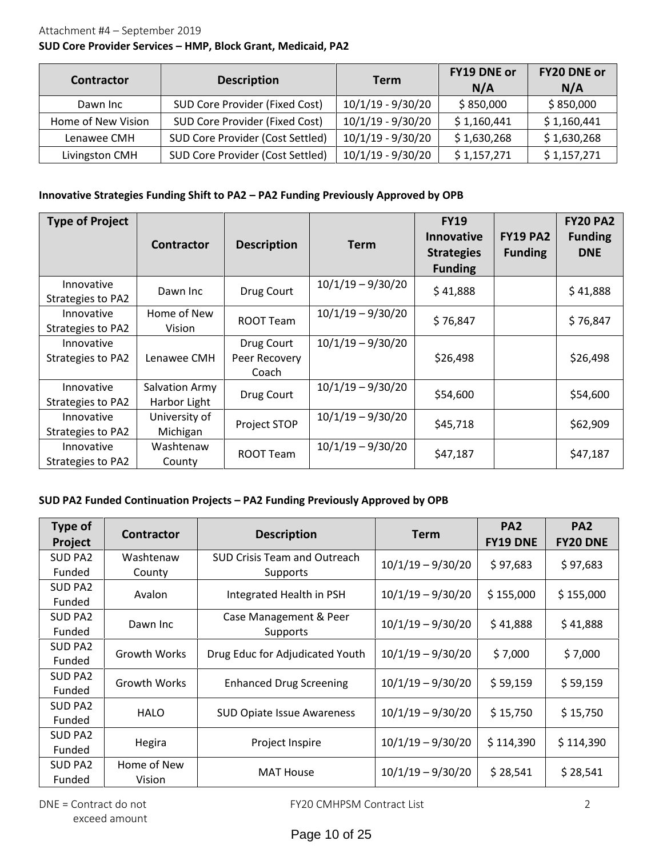# Attachment #4 – September 2019

# **SUD Core Provider Services – HMP, Block Grant, Medicaid, PA2**

| Contractor         | <b>Description</b>               | <b>Term</b>         | <b>FY19 DNE or</b><br>N/A | FY20 DNE or<br>N/A |
|--------------------|----------------------------------|---------------------|---------------------------|--------------------|
| Dawn Inc           | SUD Core Provider (Fixed Cost)   | 10/1/19 - 9/30/20   | \$850,000                 | \$850,000          |
| Home of New Vision | SUD Core Provider (Fixed Cost)   | 10/1/19 - 9/30/20   | \$1,160,441               | \$1,160,441        |
| Lenawee CMH        | SUD Core Provider (Cost Settled) | $10/1/19 - 9/30/20$ | \$1,630,268               | \$1,630,268        |
| Livingston CMH     | SUD Core Provider (Cost Settled) | 10/1/19 - 9/30/20   | \$1,157,271               | \$1,157,271        |

#### **Innovative Strategies Funding Shift to PA2 – PA2 Funding Previously Approved by OPB**

| <b>Type of Project</b>          | <b>Contractor</b>              | <b>Description</b>                   | <b>Term</b>         | <b>FY19</b><br><b>Innovative</b><br><b>Strategies</b><br><b>Funding</b> | <b>FY19 PA2</b><br><b>Funding</b> | <b>FY20 PA2</b><br><b>Funding</b><br><b>DNE</b> |
|---------------------------------|--------------------------------|--------------------------------------|---------------------|-------------------------------------------------------------------------|-----------------------------------|-------------------------------------------------|
| Innovative<br>Strategies to PA2 | Dawn Inc                       | Drug Court                           | $10/1/19 - 9/30/20$ | \$41,888                                                                |                                   | \$41,888                                        |
| Innovative<br>Strategies to PA2 | Home of New<br>Vision          | <b>ROOT Team</b>                     | $10/1/19 - 9/30/20$ | \$76,847                                                                |                                   | \$76,847                                        |
| Innovative<br>Strategies to PA2 | Lenawee CMH                    | Drug Court<br>Peer Recovery<br>Coach | $10/1/19 - 9/30/20$ | \$26,498                                                                |                                   | \$26,498                                        |
| Innovative<br>Strategies to PA2 | Salvation Army<br>Harbor Light | Drug Court                           | $10/1/19 - 9/30/20$ | \$54,600                                                                |                                   | \$54,600                                        |
| Innovative<br>Strategies to PA2 | University of<br>Michigan      | Project STOP                         | $10/1/19 - 9/30/20$ | \$45,718                                                                |                                   | \$62,909                                        |
| Innovative<br>Strategies to PA2 | Washtenaw<br>County            | ROOT Team                            | $10/1/19 - 9/30/20$ | \$47,187                                                                |                                   | \$47,187                                        |

# **SUD PA2 Funded Continuation Projects – PA2 Funding Previously Approved by OPB**

| Type of<br>Project       | <b>Contractor</b>     | <b>Description</b>                              | <b>Term</b>         | PA <sub>2</sub><br><b>FY19 DNE</b> | PA <sub>2</sub><br><b>FY20 DNE</b> |
|--------------------------|-----------------------|-------------------------------------------------|---------------------|------------------------------------|------------------------------------|
| <b>SUD PA2</b><br>Funded | Washtenaw<br>County   | <b>SUD Crisis Team and Outreach</b><br>Supports | $10/1/19 - 9/30/20$ | \$97,683                           | \$97,683                           |
| <b>SUD PA2</b><br>Funded | Avalon                | Integrated Health in PSH                        | $10/1/19 - 9/30/20$ | \$155,000                          | \$155,000                          |
| <b>SUD PA2</b><br>Funded | Dawn Inc              | Case Management & Peer<br>Supports              | $10/1/19 - 9/30/20$ | \$41,888                           | \$41,888                           |
| <b>SUD PA2</b><br>Funded | Growth Works          | Drug Educ for Adjudicated Youth                 | $10/1/19 - 9/30/20$ | \$7,000                            | \$7,000                            |
| SUD PA2<br>Funded        | Growth Works          | <b>Enhanced Drug Screening</b>                  | $10/1/19 - 9/30/20$ | \$59,159                           | \$59,159                           |
| <b>SUD PA2</b><br>Funded | <b>HALO</b>           | <b>SUD Opiate Issue Awareness</b>               | $10/1/19 - 9/30/20$ | \$15,750                           | \$15,750                           |
| <b>SUD PA2</b><br>Funded | Hegira                | Project Inspire                                 | $10/1/19 - 9/30/20$ | \$114,390                          | \$114,390                          |
| <b>SUD PA2</b><br>Funded | Home of New<br>Vision | <b>MAT House</b>                                | $10/1/19 - 9/30/20$ | \$28,541                           | \$28,541                           |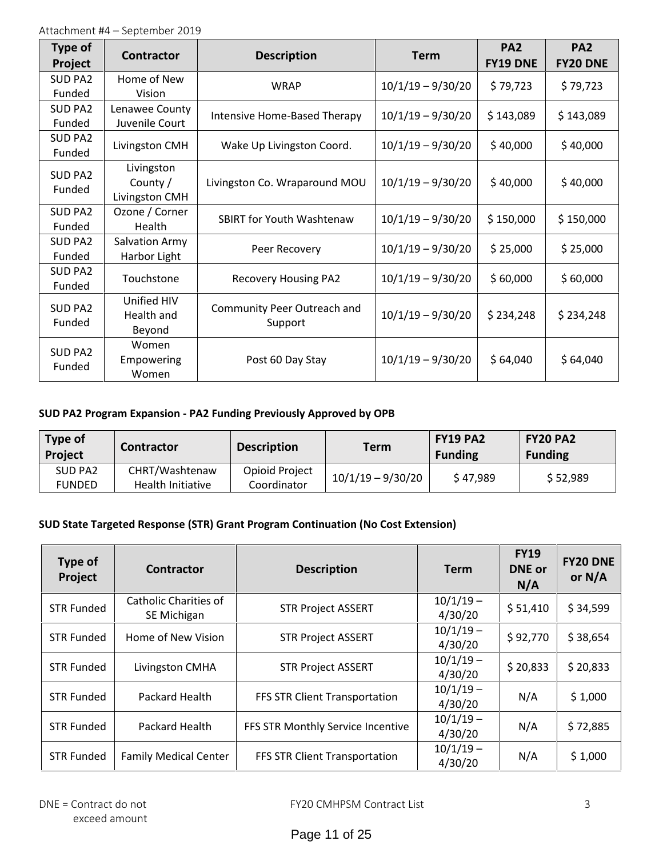| <b>Type of</b><br>Project | <b>Contractor</b>                        | <b>Description</b>                     | <b>Term</b>         | PA <sub>2</sub><br><b>FY19 DNE</b> | PA <sub>2</sub><br><b>FY20 DNE</b> |
|---------------------------|------------------------------------------|----------------------------------------|---------------------|------------------------------------|------------------------------------|
| SUD PA2<br>Funded         | Home of New<br>Vision                    | <b>WRAP</b>                            | $10/1/19 - 9/30/20$ | \$79,723                           | \$79,723                           |
| SUD PA2<br>Funded         | Lenawee County<br>Juvenile Court         | Intensive Home-Based Therapy           | $10/1/19 - 9/30/20$ | \$143,089                          | \$143,089                          |
| SUD PA2<br>Funded         | Livingston CMH                           | Wake Up Livingston Coord.              | $10/1/19 - 9/30/20$ | \$40,000                           | \$40,000                           |
| SUD PA2<br>Funded         | Livingston<br>County /<br>Livingston CMH | Livingston Co. Wraparound MOU          | $10/1/19 - 9/30/20$ | \$40,000                           | \$40,000                           |
| SUD PA2<br>Funded         | Ozone / Corner<br>Health                 | <b>SBIRT for Youth Washtenaw</b>       | $10/1/19 - 9/30/20$ | \$150,000                          | \$150,000                          |
| SUD PA2<br>Funded         | Salvation Army<br>Harbor Light           | Peer Recovery                          | $10/1/19 - 9/30/20$ | \$25,000                           | \$25,000                           |
| SUD PA2<br>Funded         | Touchstone                               | <b>Recovery Housing PA2</b>            | $10/1/19 - 9/30/20$ | \$60,000                           | \$60,000                           |
| SUD PA2<br>Funded         | Unified HIV<br>Health and<br>Beyond      | Community Peer Outreach and<br>Support | $10/1/19 - 9/30/20$ | \$234,248                          | \$234,248                          |
| SUD PA2<br>Funded         | Women<br>Empowering<br>Women             | Post 60 Day Stay                       | $10/1/19 - 9/30/20$ | \$64,040                           | \$64,040                           |

# **SUD PA2 Program Expansion - PA2 Funding Previously Approved by OPB**

| <b>Type of</b><br><b>Project</b> | Contractor                          | <b>Description</b>            | Term                | <b>FY19 PA2</b><br><b>Funding</b> | <b>FY20 PA2</b><br><b>Funding</b> |
|----------------------------------|-------------------------------------|-------------------------------|---------------------|-----------------------------------|-----------------------------------|
| SUD PA2<br><b>FUNDED</b>         | CHRT/Washtenaw<br>Health Initiative | Opioid Project<br>Coordinator | $10/1/19 - 9/30/20$ | \$47,989                          | \$52,989                          |

# **SUD State Targeted Response (STR) Grant Program Continuation (No Cost Extension)**

| Type of<br>Project | <b>Contractor</b>                    | <b>Description</b>                | <b>Term</b>            | <b>FY19</b><br><b>DNE</b> or<br>N/A | <b>FY20 DNE</b><br>or $N/A$ |
|--------------------|--------------------------------------|-----------------------------------|------------------------|-------------------------------------|-----------------------------|
| <b>STR Funded</b>  | Catholic Charities of<br>SE Michigan | <b>STR Project ASSERT</b>         | $10/1/19 -$<br>4/30/20 | \$51,410                            | \$34,599                    |
| <b>STR Funded</b>  | Home of New Vision                   | <b>STR Project ASSERT</b>         | $10/1/19 -$<br>4/30/20 | \$92,770                            | \$38,654                    |
| <b>STR Funded</b>  | Livingston CMHA                      | <b>STR Project ASSERT</b>         | $10/1/19 -$<br>4/30/20 | \$20,833                            | \$20,833                    |
| <b>STR Funded</b>  | Packard Health                       | FFS STR Client Transportation     | $10/1/19 -$<br>4/30/20 | N/A                                 | \$1,000                     |
| <b>STR Funded</b>  | Packard Health                       | FFS STR Monthly Service Incentive | $10/1/19 -$<br>4/30/20 | N/A                                 | \$72,885                    |
| <b>STR Funded</b>  | <b>Family Medical Center</b>         | FFS STR Client Transportation     | $10/1/19 -$<br>4/30/20 | N/A                                 | \$1,000                     |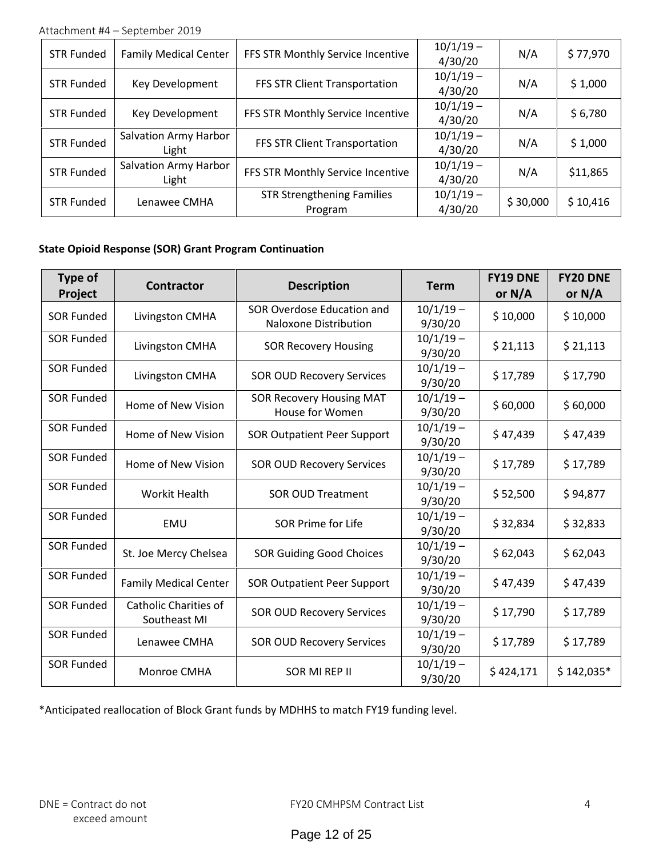Attachment #4 – September 2019

| <b>STR Funded</b> | <b>Family Medical Center</b>   | FFS STR Monthly Service Incentive            | $10/1/19 -$<br>4/30/20 | N/A      | \$77,970 |
|-------------------|--------------------------------|----------------------------------------------|------------------------|----------|----------|
| <b>STR Funded</b> | Key Development                | FFS STR Client Transportation                | $10/1/19 -$<br>4/30/20 | N/A      | \$1,000  |
| <b>STR Funded</b> | Key Development                | FFS STR Monthly Service Incentive            | $10/1/19 -$<br>4/30/20 | N/A      | \$6,780  |
| <b>STR Funded</b> | Salvation Army Harbor<br>Light | FFS STR Client Transportation                | $10/1/19 -$<br>4/30/20 | N/A      | \$1,000  |
| <b>STR Funded</b> | Salvation Army Harbor<br>Light | FFS STR Monthly Service Incentive            | $10/1/19 -$<br>4/30/20 | N/A      | \$11,865 |
| STR Funded        | Lenawee CMHA                   | <b>STR Strengthening Families</b><br>Program | $10/1/19 -$<br>4/30/20 | \$30,000 | \$10,416 |

# **State Opioid Response (SOR) Grant Program Continuation**

| Type of<br>Project | <b>Contractor</b>                            | <b>Description</b>                                         | <b>Term</b>                        | <b>FY19 DNE</b><br>or $N/A$ | <b>FY20 DNE</b><br>or $N/A$ |
|--------------------|----------------------------------------------|------------------------------------------------------------|------------------------------------|-----------------------------|-----------------------------|
| <b>SOR Funded</b>  | Livingston CMHA                              | SOR Overdose Education and<br><b>Naloxone Distribution</b> | $10/1/19 -$<br>9/30/20             | \$10,000                    | \$10,000                    |
| <b>SOR Funded</b>  | Livingston CMHA                              | <b>SOR Recovery Housing</b>                                | $10/1/19 -$<br>9/30/20             | \$21,113                    | \$21,113                    |
| <b>SOR Funded</b>  | Livingston CMHA                              | <b>SOR OUD Recovery Services</b>                           | $10/1/19 -$<br>9/30/20             | \$17,789                    | \$17,790                    |
| <b>SOR Funded</b>  | Home of New Vision                           | <b>SOR Recovery Housing MAT</b><br>House for Women         | $10/1/19 -$<br>\$60,000<br>9/30/20 |                             | \$60,000                    |
| <b>SOR Funded</b>  | Home of New Vision                           | <b>SOR Outpatient Peer Support</b>                         | $10/1/19 -$<br>9/30/20             | \$47,439                    | \$47,439                    |
| <b>SOR Funded</b>  | Home of New Vision                           | <b>SOR OUD Recovery Services</b>                           | $10/1/19 -$<br>9/30/20             | \$17,789                    | \$17,789                    |
| <b>SOR Funded</b>  | <b>Workit Health</b>                         | <b>SOR OUD Treatment</b>                                   | $10/1/19 -$<br>9/30/20             | \$52,500                    | \$94,877                    |
| <b>SOR Funded</b>  | EMU                                          | <b>SOR Prime for Life</b>                                  | $10/1/19 -$<br>9/30/20             | \$32,834                    | \$32,833                    |
| <b>SOR Funded</b>  | St. Joe Mercy Chelsea                        | <b>SOR Guiding Good Choices</b>                            | $10/1/19 -$<br>9/30/20             | \$62,043                    | \$62,043                    |
| <b>SOR Funded</b>  | <b>Family Medical Center</b>                 | <b>SOR Outpatient Peer Support</b>                         | $10/1/19 -$<br>9/30/20             | \$47,439                    | \$47,439                    |
| <b>SOR Funded</b>  | <b>Catholic Charities of</b><br>Southeast MI | <b>SOR OUD Recovery Services</b>                           | $10/1/19 -$<br>9/30/20             | \$17,790                    | \$17,789                    |
| <b>SOR Funded</b>  | Lenawee CMHA                                 | <b>SOR OUD Recovery Services</b>                           | $10/1/19 -$<br>9/30/20             | \$17,789                    | \$17,789                    |
| <b>SOR Funded</b>  | Monroe CMHA                                  | SOR MI REP II                                              | $10/1/19 -$<br>9/30/20             | \$424,171                   | $$142,035*$                 |

\*Anticipated reallocation of Block Grant funds by MDHHS to match FY19 funding level.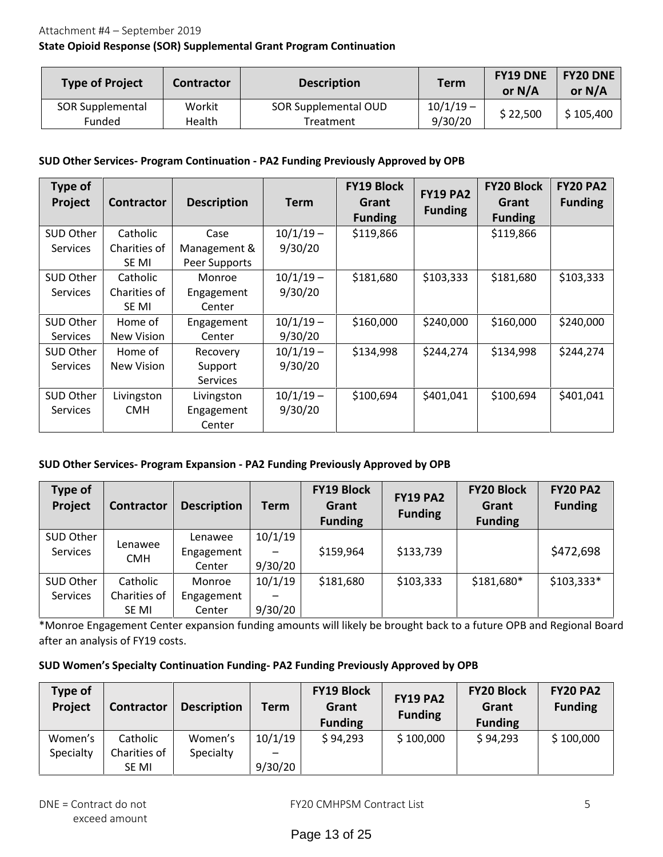## **State Opioid Response (SOR) Supplemental Grant Program Continuation**

| <b>Type of Project</b>     | <b>Description</b><br>Contractor |                                   | <b>Term</b>            | <b>FY19 DNE</b><br>or $N/A$ | <b>FY20 DNE</b><br>or $N/A$ |
|----------------------------|----------------------------------|-----------------------------------|------------------------|-----------------------------|-----------------------------|
| SOR Supplemental<br>Funded | Workit<br>Health                 | SOR Supplemental OUD<br>Treatment | $10/1/19 -$<br>9/30/20 | \$22,500                    | \$105,400                   |

#### **SUD Other Services- Program Continuation - PA2 Funding Previously Approved by OPB**

| Type of<br>Project | <b>Contractor</b> | <b>Description</b> | Term        | <b>FY19 Block</b><br>Grant<br><b>Funding</b> | <b>FY19 PA2</b><br><b>Funding</b> | <b>FY20 Block</b><br>Grant<br><b>Funding</b> | <b>FY20 PA2</b><br><b>Funding</b> |
|--------------------|-------------------|--------------------|-------------|----------------------------------------------|-----------------------------------|----------------------------------------------|-----------------------------------|
| SUD Other          | Catholic          | Case               | $10/1/19 -$ | \$119,866                                    |                                   | \$119,866                                    |                                   |
| <b>Services</b>    | Charities of      | Management &       | 9/30/20     |                                              |                                   |                                              |                                   |
|                    | SE MI             | Peer Supports      |             |                                              |                                   |                                              |                                   |
| SUD Other          | Catholic          | Monroe             | $10/1/19 -$ | \$181,680                                    | \$103,333                         | \$181,680                                    | \$103,333                         |
| <b>Services</b>    | Charities of      | Engagement         | 9/30/20     |                                              |                                   |                                              |                                   |
|                    | SE MI             | Center             |             |                                              |                                   |                                              |                                   |
| SUD Other          | Home of           | Engagement         | $10/1/19 -$ | \$160,000                                    | \$240,000                         | \$160,000                                    | \$240,000                         |
| <b>Services</b>    | New Vision        | Center             | 9/30/20     |                                              |                                   |                                              |                                   |
| SUD Other          | Home of           | Recovery           | $10/1/19 -$ | \$134,998                                    | \$244,274                         | \$134,998                                    | \$244,274                         |
| <b>Services</b>    | New Vision        | Support            | 9/30/20     |                                              |                                   |                                              |                                   |
|                    |                   | <b>Services</b>    |             |                                              |                                   |                                              |                                   |
| SUD Other          | Livingston        | Livingston         | $10/1/19 -$ | \$100,694                                    | \$401,041                         | \$100,694                                    | \$401,041                         |
| <b>Services</b>    | <b>CMH</b>        | Engagement         | 9/30/20     |                                              |                                   |                                              |                                   |
|                    |                   | Center             |             |                                              |                                   |                                              |                                   |

## **SUD Other Services- Program Expansion - PA2 Funding Previously Approved by OPB**

| Type of<br>Project           | Contractor                        | <b>Description</b>              | Term               | <b>FY19 Block</b><br>Grant<br><b>Funding</b> | <b>FY19 PA2</b><br><b>Funding</b> | <b>FY20 Block</b><br>Grant<br><b>Funding</b> | <b>FY20 PA2</b><br><b>Funding</b> |
|------------------------------|-----------------------------------|---------------------------------|--------------------|----------------------------------------------|-----------------------------------|----------------------------------------------|-----------------------------------|
| SUD Other<br><b>Services</b> | Lenawee<br><b>CMH</b>             | Lenawee<br>Engagement<br>Center | 10/1/19<br>9/30/20 | \$159,964                                    | \$133,739                         |                                              | \$472,698                         |
| SUD Other<br>Services        | Catholic<br>Charities of<br>SE MI | Monroe<br>Engagement<br>Center  | 10/1/19<br>9/30/20 | \$181,680                                    | \$103,333                         | \$181,680*                                   | $$103,333*$                       |

\*Monroe Engagement Center expansion funding amounts will likely be brought back to a future OPB and Regional Board after an analysis of FY19 costs.

#### **SUD Women's Specialty Continuation Funding- PA2 Funding Previously Approved by OPB**

| Type of<br>Project | Contractor   | <b>Description</b> | Term    | <b>FY19 Block</b><br>Grant<br><b>Funding</b> | <b>FY19 PA2</b><br><b>Funding</b> | <b>FY20 Block</b><br>Grant<br><b>Funding</b> | <b>FY20 PA2</b><br><b>Funding</b> |
|--------------------|--------------|--------------------|---------|----------------------------------------------|-----------------------------------|----------------------------------------------|-----------------------------------|
| Women's            | Catholic     | Women's            | 10/1/19 | \$94,293                                     | \$100,000                         | \$94,293                                     | \$100,000                         |
| Specialty          | Charities of | Specialty          |         |                                              |                                   |                                              |                                   |
|                    | SE MI        |                    | 9/30/20 |                                              |                                   |                                              |                                   |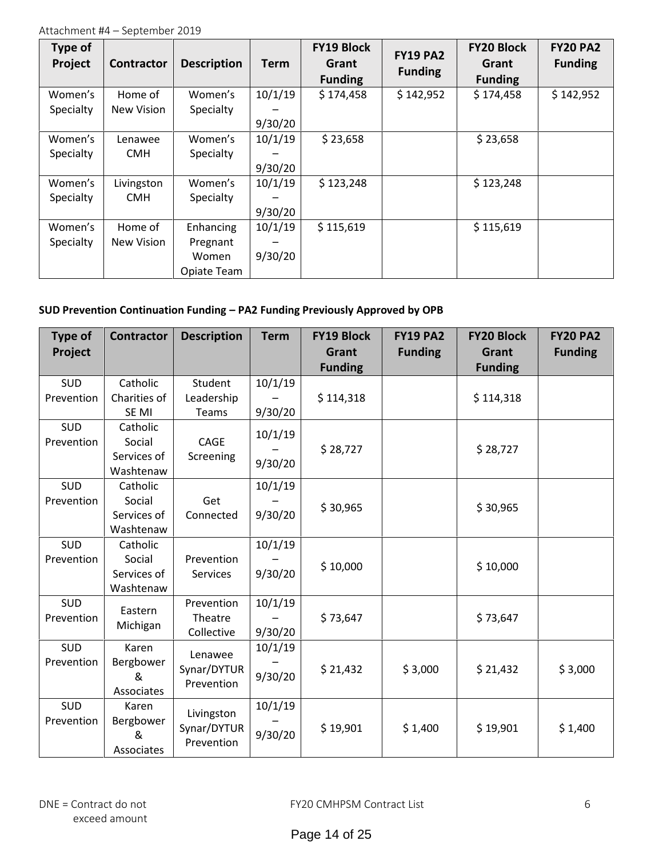| Type of<br>Project | <b>Contractor</b> | <b>Description</b> | <b>Term</b> | <b>FY19 Block</b><br>Grant<br><b>Funding</b> | <b>FY19 PA2</b><br><b>Funding</b> | <b>FY20 Block</b><br>Grant<br><b>Funding</b> | <b>FY20 PA2</b><br><b>Funding</b> |
|--------------------|-------------------|--------------------|-------------|----------------------------------------------|-----------------------------------|----------------------------------------------|-----------------------------------|
| Women's            | Home of           | Women's            | 10/1/19     | \$174,458                                    | \$142,952                         | \$174,458                                    | \$142,952                         |
| Specialty          | New Vision        | Specialty          |             |                                              |                                   |                                              |                                   |
|                    |                   |                    | 9/30/20     |                                              |                                   |                                              |                                   |
| Women's            | Lenawee           | Women's            | 10/1/19     | \$23,658                                     |                                   | \$23,658                                     |                                   |
| Specialty          | <b>CMH</b>        | Specialty          |             |                                              |                                   |                                              |                                   |
|                    |                   |                    | 9/30/20     |                                              |                                   |                                              |                                   |
| Women's            | Livingston        | Women's            | 10/1/19     | \$123,248                                    |                                   | \$123,248                                    |                                   |
| Specialty          | <b>CMH</b>        | Specialty          |             |                                              |                                   |                                              |                                   |
|                    |                   |                    | 9/30/20     |                                              |                                   |                                              |                                   |
| Women's            | Home of           | Enhancing          | 10/1/19     | \$115,619                                    |                                   | \$115,619                                    |                                   |
| Specialty          | New Vision        | Pregnant           |             |                                              |                                   |                                              |                                   |
|                    |                   | Women              | 9/30/20     |                                              |                                   |                                              |                                   |
|                    |                   | Opiate Team        |             |                                              |                                   |                                              |                                   |

# **SUD Prevention Continuation Funding – PA2 Funding Previously Approved by OPB**

| <b>Type of</b><br>Project | <b>Contractor</b>            | <b>Description</b>        | <b>Term</b> | <b>FY19 Block</b><br>Grant | <b>FY19 PA2</b><br><b>Funding</b> | <b>FY20 Block</b><br>Grant | <b>FY20 PA2</b><br><b>Funding</b> |
|---------------------------|------------------------------|---------------------------|-------------|----------------------------|-----------------------------------|----------------------------|-----------------------------------|
|                           |                              |                           |             | <b>Funding</b>             |                                   | <b>Funding</b>             |                                   |
| <b>SUD</b>                | Catholic                     | Student                   | 10/1/19     |                            |                                   |                            |                                   |
| Prevention                | Charities of                 | Leadership                |             | \$114,318                  |                                   | \$114,318                  |                                   |
|                           | SE MI                        | Teams                     | 9/30/20     |                            |                                   |                            |                                   |
| <b>SUD</b>                | Catholic                     |                           | 10/1/19     |                            |                                   |                            |                                   |
| Prevention                | Social                       | CAGE                      |             | \$28,727                   |                                   | \$28,727                   |                                   |
|                           | Services of                  | Screening                 | 9/30/20     |                            |                                   |                            |                                   |
|                           | Washtenaw                    |                           |             |                            |                                   |                            |                                   |
| SUD                       | Catholic                     |                           | 10/1/19     |                            |                                   |                            |                                   |
| Prevention                | Social                       | Get                       |             | \$30,965                   |                                   | \$30,965                   |                                   |
|                           | Services of                  | Connected                 | 9/30/20     |                            |                                   |                            |                                   |
|                           | Washtenaw                    |                           |             |                            |                                   |                            |                                   |
| SUD                       | Catholic                     |                           | 10/1/19     |                            |                                   |                            |                                   |
| Prevention                | Social                       | Prevention                |             | \$10,000                   |                                   | \$10,000                   |                                   |
|                           | Services of                  | <b>Services</b>           | 9/30/20     |                            |                                   |                            |                                   |
|                           | Washtenaw                    |                           |             |                            |                                   |                            |                                   |
| <b>SUD</b>                | Eastern                      | Prevention                | 10/1/19     |                            |                                   |                            |                                   |
| Prevention                | Michigan                     | Theatre                   |             | \$73,647                   |                                   | \$73,647                   |                                   |
|                           |                              | Collective                | 9/30/20     |                            |                                   |                            |                                   |
| <b>SUD</b>                | Karen                        | Lenawee                   | 10/1/19     |                            |                                   |                            |                                   |
| Prevention                | Bergbower<br>&<br>Associates | Synar/DYTUR<br>Prevention | 9/30/20     | \$21,432                   | \$3,000                           | \$21,432                   | \$3,000                           |
| <b>SUD</b>                | Karen                        |                           | 10/1/19     |                            |                                   |                            |                                   |
| Prevention                | Bergbower                    | Livingston                |             |                            |                                   |                            |                                   |
|                           | &<br>Associates              | Synar/DYTUR<br>Prevention | 9/30/20     | \$19,901                   | \$1,400                           | \$19,901                   | \$1,400                           |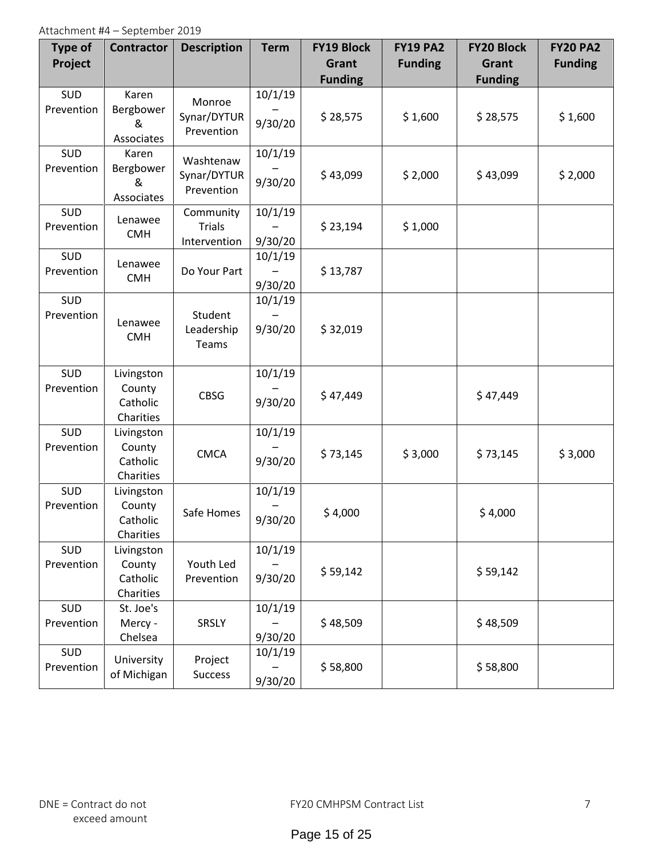| <b>Type of</b><br>Project | <b>Contractor</b>                             | <b>Description</b>                         | <b>Term</b>        | <b>FY19 Block</b><br>Grant<br><b>Funding</b> | <b>FY19 PA2</b><br><b>Funding</b> | <b>FY20 Block</b><br>Grant<br><b>Funding</b> | <b>FY20 PA2</b><br><b>Funding</b> |
|---------------------------|-----------------------------------------------|--------------------------------------------|--------------------|----------------------------------------------|-----------------------------------|----------------------------------------------|-----------------------------------|
| <b>SUD</b><br>Prevention  | Karen<br>Bergbower<br>&<br>Associates         | Monroe<br>Synar/DYTUR<br>Prevention        | 10/1/19<br>9/30/20 | \$28,575                                     | \$1,600                           | \$28,575                                     | \$1,600                           |
| SUD<br>Prevention         | Karen<br>Bergbower<br>&<br>Associates         | Washtenaw<br>Synar/DYTUR<br>Prevention     | 10/1/19<br>9/30/20 | \$43,099                                     | \$2,000                           | \$43,099                                     | \$2,000                           |
| SUD<br>Prevention         | Lenawee<br><b>CMH</b>                         | Community<br><b>Trials</b><br>Intervention | 10/1/19<br>9/30/20 | \$23,194                                     | \$1,000                           |                                              |                                   |
| SUD<br>Prevention         | Lenawee<br><b>CMH</b>                         | Do Your Part                               | 10/1/19<br>9/30/20 | \$13,787                                     |                                   |                                              |                                   |
| SUD<br>Prevention         | Lenawee<br><b>CMH</b>                         | Student<br>Leadership<br>Teams             | 10/1/19<br>9/30/20 | \$32,019                                     |                                   |                                              |                                   |
| SUD<br>Prevention         | Livingston<br>County<br>Catholic<br>Charities | <b>CBSG</b>                                | 10/1/19<br>9/30/20 | \$47,449                                     |                                   | \$47,449                                     |                                   |
| SUD<br>Prevention         | Livingston<br>County<br>Catholic<br>Charities | <b>CMCA</b>                                | 10/1/19<br>9/30/20 | \$73,145                                     | \$3,000                           | \$73,145                                     | \$3,000                           |
| SUD<br>Prevention         | Livingston<br>County<br>Catholic<br>Charities | Safe Homes                                 | 10/1/19<br>9/30/20 | \$4,000                                      |                                   | \$4,000                                      |                                   |
| SUD<br>Prevention         | Livingston<br>County<br>Catholic<br>Charities | Youth Led<br>Prevention                    | 10/1/19<br>9/30/20 | \$59,142                                     |                                   | \$59,142                                     |                                   |
| SUD<br>Prevention         | St. Joe's<br>Mercy -<br>Chelsea               | <b>SRSLY</b>                               | 10/1/19<br>9/30/20 | \$48,509                                     |                                   | \$48,509                                     |                                   |
| SUD<br>Prevention         | University<br>of Michigan                     | Project<br>Success                         | 10/1/19<br>9/30/20 | \$58,800                                     |                                   | \$58,800                                     |                                   |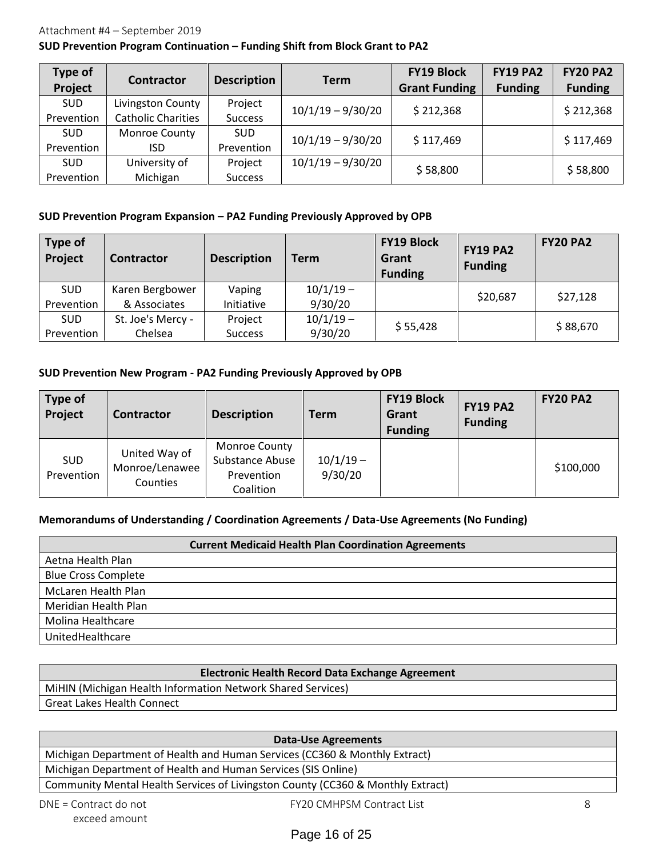#### Attachment #4 – September 2019

#### **SUD Prevention Program Continuation – Funding Shift from Block Grant to PA2**

| <b>Type of</b><br>Project | <b>Contractor</b>         | <b>Description</b> | Term                | <b>FY19 Block</b><br><b>Grant Funding</b> | <b>FY19 PA2</b><br><b>Funding</b> | <b>FY20 PA2</b><br><b>Funding</b> |
|---------------------------|---------------------------|--------------------|---------------------|-------------------------------------------|-----------------------------------|-----------------------------------|
| <b>SUD</b>                | Livingston County         | Project            | $10/1/19 - 9/30/20$ | \$212,368                                 |                                   | \$212,368                         |
| Prevention                | <b>Catholic Charities</b> | <b>Success</b>     |                     |                                           |                                   |                                   |
| <b>SUD</b>                | <b>Monroe County</b>      | <b>SUD</b>         | $10/1/19 - 9/30/20$ | \$117,469                                 |                                   | \$117,469                         |
| Prevention                | ISD.                      | Prevention         |                     |                                           |                                   |                                   |
| <b>SUD</b>                | University of             | Project            | $10/1/19 - 9/30/20$ | \$58,800                                  |                                   | \$58,800                          |
| Prevention                | Michigan                  | <b>Success</b>     |                     |                                           |                                   |                                   |

#### **SUD Prevention Program Expansion – PA2 Funding Previously Approved by OPB**

| Type of<br>Project | <b>Contractor</b> | <b>Description</b> | <b>Term</b> | <b>FY19 Block</b><br>Grant<br><b>Funding</b> | <b>FY19 PA2</b><br><b>Funding</b> | <b>FY20 PA2</b> |
|--------------------|-------------------|--------------------|-------------|----------------------------------------------|-----------------------------------|-----------------|
| <b>SUD</b>         | Karen Bergbower   | Vaping             | $10/1/19 -$ |                                              | \$20,687                          | \$27,128        |
| Prevention         | & Associates      | Initiative         | 9/30/20     |                                              |                                   |                 |
| <b>SUD</b>         | St. Joe's Mercy - | Project            | $10/1/19 -$ | \$55,428                                     |                                   | \$88,670        |
| Prevention         | Chelsea           | <b>Success</b>     | 9/30/20     |                                              |                                   |                 |

#### **SUD Prevention New Program - PA2 Funding Previously Approved by OPB**

| <b>Type of</b><br>Project | <b>Contractor</b>                           | <b>Description</b>                                                 | Term                   | <b>FY19 Block</b><br>Grant<br><b>Funding</b> | <b>FY19 PA2</b><br><b>Funding</b> | <b>FY20 PA2</b> |
|---------------------------|---------------------------------------------|--------------------------------------------------------------------|------------------------|----------------------------------------------|-----------------------------------|-----------------|
| <b>SUD</b><br>Prevention  | United Way of<br>Monroe/Lenawee<br>Counties | <b>Monroe County</b><br>Substance Abuse<br>Prevention<br>Coalition | $10/1/19 -$<br>9/30/20 |                                              |                                   | \$100,000       |

# **Memorandums of Understanding / Coordination Agreements / Data-Use Agreements (No Funding)**

|                            | <b>Current Medicaid Health Plan Coordination Agreements</b> |
|----------------------------|-------------------------------------------------------------|
| Aetna Health Plan          |                                                             |
| <b>Blue Cross Complete</b> |                                                             |
| McLaren Health Plan        |                                                             |
| Meridian Health Plan       |                                                             |
| Molina Healthcare          |                                                             |
| UnitedHealthcare           |                                                             |

| <b>Electronic Health Record Data Exchange Agreement</b>     |
|-------------------------------------------------------------|
| MiHIN (Michigan Health Information Network Shared Services) |
| <b>Great Lakes Health Connect</b>                           |

**DNE = Contract do not FY20 CMHPSM Contract List 8**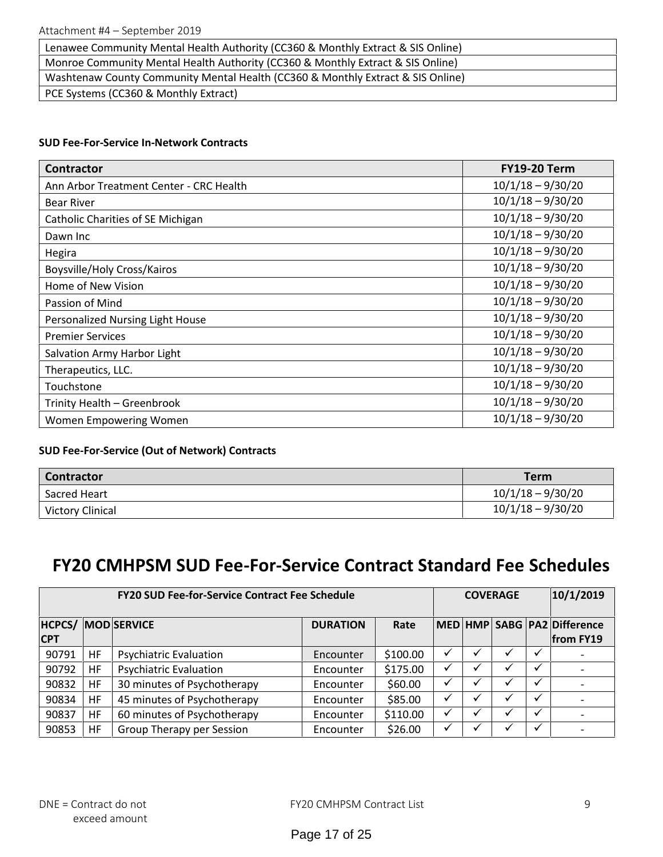| Lenawee Community Mental Health Authority (CC360 & Monthly Extract & SIS Online) |
|----------------------------------------------------------------------------------|
| Monroe Community Mental Health Authority (CC360 & Monthly Extract & SIS Online)  |
| Washtenaw County Community Mental Health (CC360 & Monthly Extract & SIS Online)  |
| PCE Systems (CC360 & Monthly Extract)                                            |

#### **SUD Fee-For-Service In-Network Contracts**

| <b>Contractor</b>                        | <b>FY19-20 Term</b> |
|------------------------------------------|---------------------|
| Ann Arbor Treatment Center - CRC Health  | $10/1/18 - 9/30/20$ |
| <b>Bear River</b>                        | $10/1/18 - 9/30/20$ |
| <b>Catholic Charities of SE Michigan</b> | $10/1/18 - 9/30/20$ |
| Dawn Inc                                 | $10/1/18 - 9/30/20$ |
| Hegira                                   | $10/1/18 - 9/30/20$ |
| Boysville/Holy Cross/Kairos              | $10/1/18 - 9/30/20$ |
| Home of New Vision                       | $10/1/18 - 9/30/20$ |
| Passion of Mind                          | $10/1/18 - 9/30/20$ |
| Personalized Nursing Light House         | $10/1/18 - 9/30/20$ |
| <b>Premier Services</b>                  | $10/1/18 - 9/30/20$ |
| Salvation Army Harbor Light              | $10/1/18 - 9/30/20$ |
| Therapeutics, LLC.                       | $10/1/18 - 9/30/20$ |
| Touchstone                               | $10/1/18 - 9/30/20$ |
| Trinity Health - Greenbrook              | $10/1/18 - 9/30/20$ |
| Women Empowering Women                   | $10/1/18 - 9/30/20$ |

# **SUD Fee-For-Service (Out of Network) Contracts**

| <b>Contractor</b>       | Term                |
|-------------------------|---------------------|
| Sacred Heart            | $10/1/18 - 9/30/20$ |
| <b>Victory Clinical</b> | $10/1/18 - 9/30/20$ |

# **FY20 CMHPSM SUD Fee-For-Service Contract Standard Fee Schedules**

| <b>FY20 SUD Fee-for-Service Contract Fee Schedule</b> |    |                               |                 |          | <b>COVERAGE</b> |  |         |              | 10/1/2019                                |
|-------------------------------------------------------|----|-------------------------------|-----------------|----------|-----------------|--|---------|--------------|------------------------------------------|
| <b>HCPCS/</b><br><b>CPT</b>                           |    | <b>MOD SERVICE</b>            | <b>DURATION</b> | Rate     |                 |  |         |              | MED HMP SABG PA2 Difference<br>from FY19 |
| 90791                                                 | HF | <b>Psychiatric Evaluation</b> | Encounter       | \$100.00 |                 |  |         |              |                                          |
| 90792                                                 | HF | <b>Psychiatric Evaluation</b> | Encounter       | \$175.00 | ✓               |  |         | ✓            |                                          |
| 90832                                                 | HF | 30 minutes of Psychotherapy   | Encounter       | \$60.00  | ✓               |  | $\cdot$ | $\checkmark$ |                                          |
| 90834                                                 | HF | 45 minutes of Psychotherapy   | Encounter       | \$85.00  | ✓               |  |         | √            |                                          |
| 90837                                                 | HF | 60 minutes of Psychotherapy   | Encounter       | \$110.00 |                 |  |         | $\checkmark$ |                                          |
| 90853                                                 | HF | Group Therapy per Session     | Encounter       | \$26.00  | ✓               |  |         |              |                                          |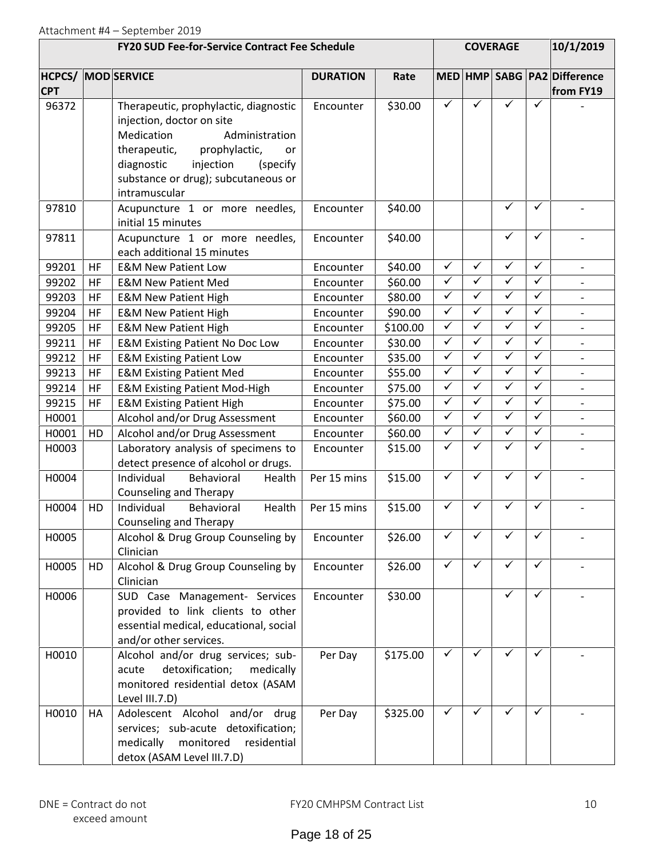| <b>FY20 SUD Fee-for-Service Contract Fee Schedule</b> |    |                                                                                                                                                                                                                                          |                 |          |                         | <b>COVERAGE</b>         |              | 10/1/2019    |                                          |
|-------------------------------------------------------|----|------------------------------------------------------------------------------------------------------------------------------------------------------------------------------------------------------------------------------------------|-----------------|----------|-------------------------|-------------------------|--------------|--------------|------------------------------------------|
| <b>CPT</b>                                            |    | <b>HCPCS/ MOD SERVICE</b>                                                                                                                                                                                                                | <b>DURATION</b> | Rate     |                         |                         |              |              | MED HMP SABG PA2 Difference<br>from FY19 |
| 96372                                                 |    | Therapeutic, prophylactic, diagnostic<br>injection, doctor on site<br>Administration<br>Medication<br>therapeutic,<br>prophylactic,<br>or<br>diagnostic<br>injection<br>(specify<br>substance or drug); subcutaneous or<br>intramuscular | Encounter       | \$30.00  | $\checkmark$            | ✓                       | ✓            | ✓            |                                          |
| 97810                                                 |    | Acupuncture 1 or more needles,<br>initial 15 minutes                                                                                                                                                                                     | Encounter       | \$40.00  |                         |                         | $\checkmark$ | $\checkmark$ |                                          |
| 97811                                                 |    | Acupuncture 1 or more needles,<br>each additional 15 minutes                                                                                                                                                                             | Encounter       | \$40.00  |                         |                         | $\checkmark$ | $\checkmark$ | $\blacksquare$                           |
| 99201                                                 | HF | <b>E&amp;M New Patient Low</b>                                                                                                                                                                                                           | Encounter       | \$40.00  | $\checkmark$            | $\checkmark$            | $\checkmark$ | $\checkmark$ |                                          |
| 99202                                                 | HF | <b>E&amp;M New Patient Med</b>                                                                                                                                                                                                           | Encounter       | \$60.00  | $\checkmark$            | $\checkmark$            | $\checkmark$ | $\checkmark$ |                                          |
| 99203                                                 | HF | <b>E&amp;M New Patient High</b>                                                                                                                                                                                                          | Encounter       | \$80.00  | $\checkmark$            | $\checkmark$            | $\checkmark$ | $\checkmark$ |                                          |
| 99204                                                 | HF | <b>E&amp;M New Patient High</b>                                                                                                                                                                                                          | Encounter       | \$90.00  | $\checkmark$            | $\checkmark$            | $\checkmark$ | $\checkmark$ |                                          |
| 99205                                                 | HF | <b>E&amp;M New Patient High</b>                                                                                                                                                                                                          | Encounter       | \$100.00 | $\checkmark$            | $\checkmark$            | $\checkmark$ | $\checkmark$ | $\overline{\phantom{a}}$                 |
| 99211                                                 | HF | <b>E&amp;M Existing Patient No Doc Low</b>                                                                                                                                                                                               | Encounter       | \$30.00  | $\checkmark$            | $\checkmark$            | $\checkmark$ | $\checkmark$ | $\overline{\phantom{a}}$                 |
| 99212                                                 | HF | <b>E&amp;M Existing Patient Low</b>                                                                                                                                                                                                      | Encounter       | \$35.00  | $\checkmark$            | $\overline{\checkmark}$ | $\checkmark$ | $\checkmark$ |                                          |
| 99213                                                 | HF | <b>E&amp;M Existing Patient Med</b>                                                                                                                                                                                                      | Encounter       | \$55.00  | $\checkmark$            | $\checkmark$            | $\checkmark$ | $\checkmark$ | $\overline{\phantom{a}}$                 |
| 99214                                                 | HF | <b>E&amp;M Existing Patient Mod-High</b>                                                                                                                                                                                                 | Encounter       | \$75.00  | $\checkmark$            | $\checkmark$            | $\checkmark$ | $\checkmark$ |                                          |
| 99215                                                 | HF | <b>E&amp;M Existing Patient High</b>                                                                                                                                                                                                     | Encounter       | \$75.00  | $\blacktriangledown$    | $\checkmark$            | $\checkmark$ | $\checkmark$ |                                          |
| H0001                                                 |    | Alcohol and/or Drug Assessment                                                                                                                                                                                                           | Encounter       | \$60.00  | $\checkmark$            | $\checkmark$            | $\checkmark$ | $\checkmark$ |                                          |
| H0001                                                 | HD | Alcohol and/or Drug Assessment                                                                                                                                                                                                           | Encounter       | \$60.00  | $\checkmark$            | $\checkmark$            | $\checkmark$ | $\checkmark$ | $\overline{\phantom{a}}$                 |
| H0003                                                 |    | Laboratory analysis of specimens to<br>detect presence of alcohol or drugs.                                                                                                                                                              | Encounter       | \$15.00  | $\overline{\checkmark}$ | $\checkmark$            | $\checkmark$ | ✓            |                                          |
| H0004                                                 |    | Individual<br>Behavioral<br>Health<br><b>Counseling and Therapy</b>                                                                                                                                                                      | Per 15 mins     | \$15.00  | $\checkmark$            | $\checkmark$            | $\checkmark$ | $\checkmark$ |                                          |
| H0004                                                 | HD | Individual<br>Behavioral<br>Health<br>Counseling and Therapy                                                                                                                                                                             | Per 15 mins     | \$15.00  | $\checkmark$            | $\checkmark$            | $\checkmark$ | ✓            |                                          |
| H0005                                                 |    | Alcohol & Drug Group Counseling by<br>Clinician                                                                                                                                                                                          | Encounter       | \$26.00  | ✓                       |                         | ✓            | ✓            |                                          |
| H0005                                                 | HD | Alcohol & Drug Group Counseling by<br>Clinician                                                                                                                                                                                          | Encounter       | \$26.00  | $\checkmark$            | $\checkmark$            | $\checkmark$ | $\checkmark$ |                                          |
| H0006                                                 |    | SUD Case Management- Services<br>provided to link clients to other<br>essential medical, educational, social<br>and/or other services.                                                                                                   | Encounter       | \$30.00  |                         |                         | ✓            | ✓            |                                          |
| H0010                                                 |    | Alcohol and/or drug services; sub-<br>detoxification;<br>acute<br>medically<br>monitored residential detox (ASAM<br>Level III.7.D)                                                                                                       | Per Day         | \$175.00 | $\checkmark$            | $\checkmark$            | $\checkmark$ | ✓            |                                          |
| H0010                                                 | HA | Adolescent Alcohol and/or drug<br>services; sub-acute detoxification;<br>medically<br>monitored<br>residential<br>detox (ASAM Level III.7.D)                                                                                             | Per Day         | \$325.00 | $\checkmark$            | $\checkmark$            | $\checkmark$ | ✓            |                                          |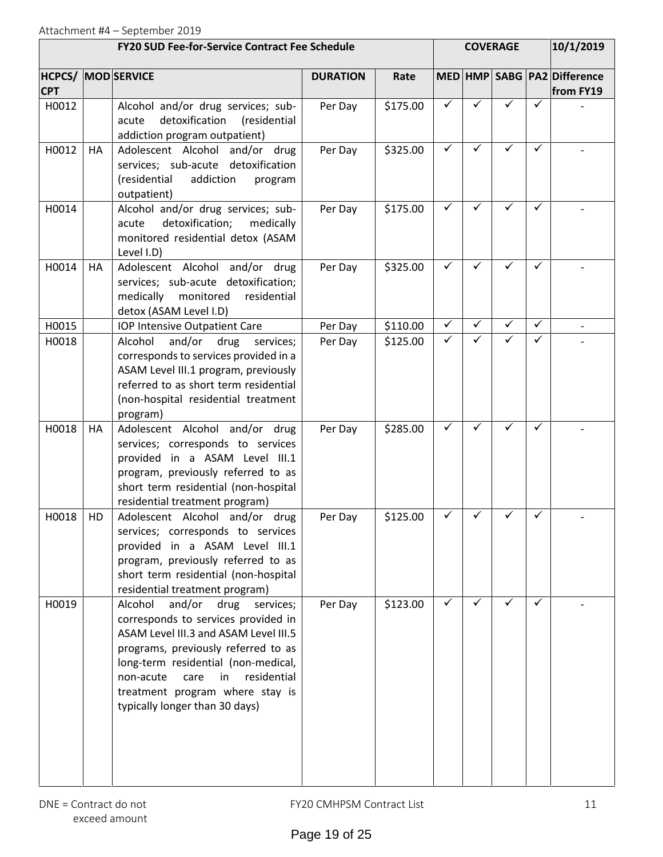| <b>FY20 SUD Fee-for-Service Contract Fee Schedule</b> |    |                                                                                                                                                                                                                                                                                                                     |                 |          | <b>COVERAGE</b> |              |              |              | 10/1/2019                                        |  |
|-------------------------------------------------------|----|---------------------------------------------------------------------------------------------------------------------------------------------------------------------------------------------------------------------------------------------------------------------------------------------------------------------|-----------------|----------|-----------------|--------------|--------------|--------------|--------------------------------------------------|--|
| <b>CPT</b>                                            |    | <b>HCPCS/ MOD SERVICE</b>                                                                                                                                                                                                                                                                                           | <b>DURATION</b> | Rate     |                 |              |              |              | MED   HMP   SABG   PA2   Difference<br>from FY19 |  |
| H0012                                                 |    | Alcohol and/or drug services; sub-<br>detoxification<br>(residential<br>acute<br>addiction program outpatient)                                                                                                                                                                                                      | Per Day         | \$175.00 | $\checkmark$    | ✓            | ✓            | ✓            |                                                  |  |
| H0012                                                 | HA | Adolescent Alcohol and/or drug<br>services; sub-acute detoxification<br>(residential<br>addiction<br>program<br>outpatient)                                                                                                                                                                                         | Per Day         | \$325.00 | $\checkmark$    | $\checkmark$ | $\checkmark$ | ✓            |                                                  |  |
| H0014                                                 |    | Alcohol and/or drug services; sub-<br>detoxification;<br>medically<br>acute<br>monitored residential detox (ASAM<br>Level I.D)                                                                                                                                                                                      | Per Day         | \$175.00 | $\checkmark$    | $\checkmark$ | ✓            | ✓            |                                                  |  |
| H0014                                                 | HA | Adolescent Alcohol and/or drug<br>services; sub-acute detoxification;<br>medically monitored<br>residential<br>detox (ASAM Level I.D)                                                                                                                                                                               | Per Day         | \$325.00 | $\checkmark$    | ✓            | ✓            | ✓            |                                                  |  |
| H0015                                                 |    | IOP Intensive Outpatient Care                                                                                                                                                                                                                                                                                       | Per Day         | \$110.00 | $\checkmark$    | ✓            | $\checkmark$ | $\checkmark$ |                                                  |  |
| H0018                                                 |    | Alcohol<br>and/or<br>drug<br>services;<br>corresponds to services provided in a<br>ASAM Level III.1 program, previously<br>referred to as short term residential<br>(non-hospital residential treatment<br>program)                                                                                                 | Per Day         | \$125.00 | $\checkmark$    | ✓            | $\checkmark$ | ✓            |                                                  |  |
| H0018                                                 | HA | Adolescent Alcohol and/or drug<br>services; corresponds to services<br>provided in a ASAM Level III.1<br>program, previously referred to as<br>short term residential (non-hospital<br>residential treatment program)                                                                                               | Per Day         | \$285.00 | $\checkmark$    | $\checkmark$ | ✓            | $\checkmark$ |                                                  |  |
| H0018                                                 | HD | Adolescent Alcohol and/or drug<br>services; corresponds to services<br>provided in a ASAM Level III.1<br>program, previously referred to as<br>short term residential (non-hospital<br>residential treatment program)                                                                                               | Per Day         | \$125.00 | ✓               |              | ✓            | ✓            |                                                  |  |
| H0019                                                 |    | Alcohol<br>and/or<br>drug<br>services;<br>corresponds to services provided in<br>ASAM Level III.3 and ASAM Level III.5<br>programs, previously referred to as<br>long-term residential (non-medical,<br>residential<br>non-acute<br>care<br>in<br>treatment program where stay is<br>typically longer than 30 days) | Per Day         | \$123.00 | $\checkmark$    | ✓            | ✓            | ✓            |                                                  |  |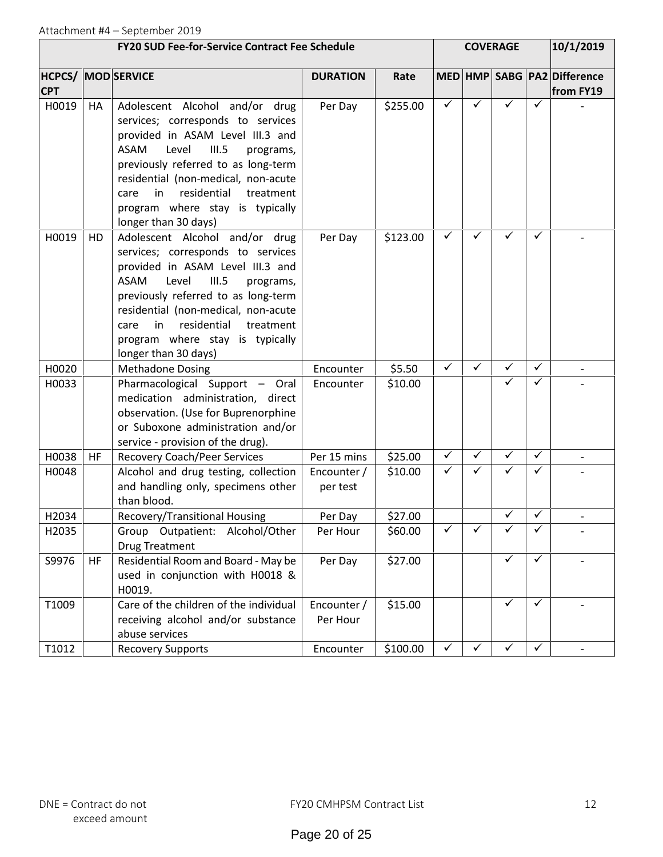| <b>FY20 SUD Fee-for-Service Contract Fee Schedule</b> |                    |                                                                                                                                                                                                                                                                                                                                   |                         | <b>COVERAGE</b>         |                      |                                     |              | 10/1/2019    |                          |
|-------------------------------------------------------|--------------------|-----------------------------------------------------------------------------------------------------------------------------------------------------------------------------------------------------------------------------------------------------------------------------------------------------------------------------------|-------------------------|-------------------------|----------------------|-------------------------------------|--------------|--------------|--------------------------|
| HCPCS/<br><b>CPT</b>                                  | <b>MOD SERVICE</b> |                                                                                                                                                                                                                                                                                                                                   |                         | <b>DURATION</b><br>Rate |                      | MED   HMP   SABG   PA2   Difference |              |              | from FY19                |
| H0019                                                 | HA                 | Adolescent Alcohol and/or drug<br>services; corresponds to services<br>provided in ASAM Level III.3 and<br>ASAM<br>Level<br>III.5<br>programs,<br>previously referred to as long-term<br>residential (non-medical, non-acute<br>residential<br>in<br>treatment<br>care<br>program where stay is typically<br>longer than 30 days) | Per Day                 | \$255.00                | $\checkmark$         | ✓                                   | ✓            | ✓            |                          |
| H0019                                                 | HD                 | Adolescent Alcohol and/or drug<br>services; corresponds to services<br>provided in ASAM Level III.3 and<br>ASAM<br>Level<br>III.5<br>programs,<br>previously referred to as long-term<br>residential (non-medical, non-acute<br>residential<br>in<br>treatment<br>care<br>program where stay is typically<br>longer than 30 days) | Per Day                 | \$123.00                | $\checkmark$         | ✓                                   | ✓            | ✓            |                          |
| H0020                                                 |                    | <b>Methadone Dosing</b>                                                                                                                                                                                                                                                                                                           | Encounter               | \$5.50                  | $\checkmark$         | $\checkmark$                        | $\checkmark$ | $\checkmark$ |                          |
| H0033                                                 |                    | Pharmacological Support - Oral<br>medication administration, direct<br>observation. (Use for Buprenorphine<br>or Suboxone administration and/or<br>service - provision of the drug).                                                                                                                                              | Encounter               | \$10.00                 |                      |                                     | $\checkmark$ | ✓            |                          |
| H0038                                                 | HF                 | <b>Recovery Coach/Peer Services</b>                                                                                                                                                                                                                                                                                               | Per 15 mins             | \$25.00                 | $\blacktriangledown$ | $\checkmark$                        | $\checkmark$ | $\checkmark$ | $\overline{\phantom{a}}$ |
| H0048                                                 |                    | Alcohol and drug testing, collection<br>and handling only, specimens other<br>than blood.                                                                                                                                                                                                                                         | Encounter /<br>per test | \$10.00                 | $\checkmark$         | $\checkmark$                        | ✓            | ✓            |                          |
| H2034                                                 |                    | Recovery/Transitional Housing                                                                                                                                                                                                                                                                                                     | Per Day                 | \$27.00                 |                      |                                     | $\checkmark$ | ✓            |                          |
| H2035                                                 |                    | Group Outpatient: Alcohol/Other<br><b>Drug Treatment</b>                                                                                                                                                                                                                                                                          | Per Hour                | \$60.00                 | $\checkmark$         |                                     | ✓            |              |                          |
| S9976                                                 | HF                 | Residential Room and Board - May be<br>used in conjunction with H0018 &<br>H0019.                                                                                                                                                                                                                                                 | Per Day                 | \$27.00                 |                      |                                     | $\checkmark$ | $\checkmark$ |                          |
| T1009                                                 |                    | Care of the children of the individual<br>receiving alcohol and/or substance<br>abuse services                                                                                                                                                                                                                                    | Encounter /<br>Per Hour | \$15.00                 |                      |                                     | $\checkmark$ | ✓            |                          |
| T1012                                                 |                    | <b>Recovery Supports</b>                                                                                                                                                                                                                                                                                                          | Encounter               | \$100.00                | $\checkmark$         | $\checkmark$                        | $\checkmark$ | $\checkmark$ |                          |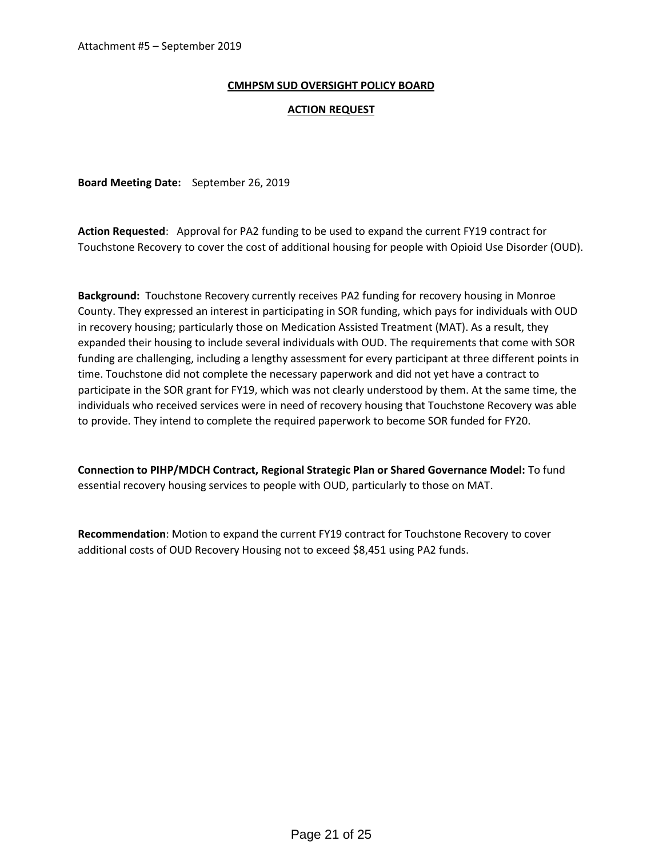#### **CMHPSM SUD OVERSIGHT POLICY BOARD**

#### **ACTION REQUEST**

**Board Meeting Date:** September 26, 2019

**Action Requested**: Approval for PA2 funding to be used to expand the current FY19 contract for Touchstone Recovery to cover the cost of additional housing for people with Opioid Use Disorder (OUD).

**Background:** Touchstone Recovery currently receives PA2 funding for recovery housing in Monroe County. They expressed an interest in participating in SOR funding, which pays for individuals with OUD in recovery housing; particularly those on Medication Assisted Treatment (MAT). As a result, they expanded their housing to include several individuals with OUD. The requirements that come with SOR funding are challenging, including a lengthy assessment for every participant at three different points in time. Touchstone did not complete the necessary paperwork and did not yet have a contract to participate in the SOR grant for FY19, which was not clearly understood by them. At the same time, the individuals who received services were in need of recovery housing that Touchstone Recovery was able to provide. They intend to complete the required paperwork to become SOR funded for FY20.

**Connection to PIHP/MDCH Contract, Regional Strategic Plan or Shared Governance Model:** To fund essential recovery housing services to people with OUD, particularly to those on MAT.

**Recommendation**: Motion to expand the current FY19 contract for Touchstone Recovery to cover additional costs of OUD Recovery Housing not to exceed \$8,451 using PA2 funds.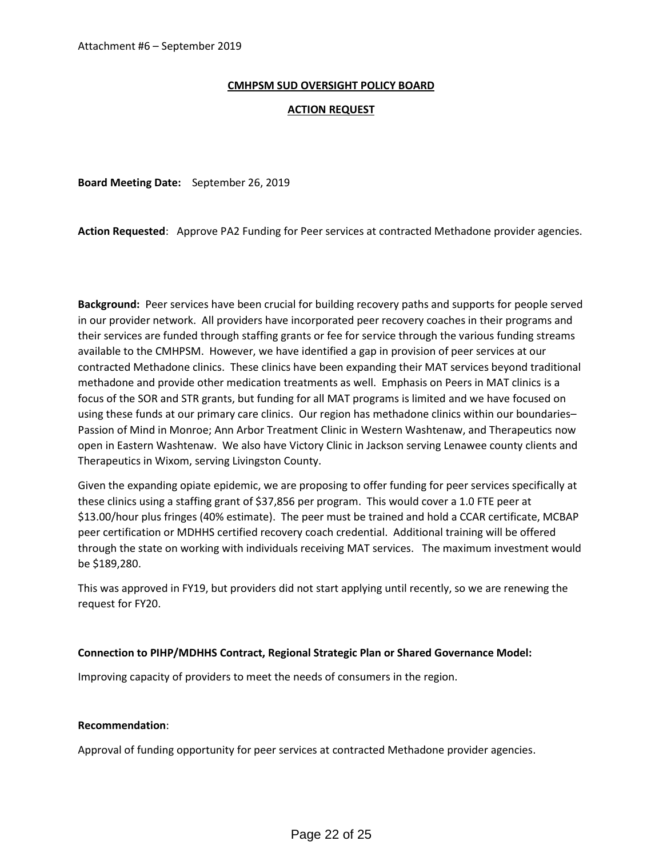#### **CMHPSM SUD OVERSIGHT POLICY BOARD**

#### **ACTION REQUEST**

**Board Meeting Date:** September 26, 2019

**Action Requested**: Approve PA2 Funding for Peer services at contracted Methadone provider agencies.

**Background:** Peer services have been crucial for building recovery paths and supports for people served in our provider network. All providers have incorporated peer recovery coaches in their programs and their services are funded through staffing grants or fee for service through the various funding streams available to the CMHPSM. However, we have identified a gap in provision of peer services at our contracted Methadone clinics. These clinics have been expanding their MAT services beyond traditional methadone and provide other medication treatments as well. Emphasis on Peers in MAT clinics is a focus of the SOR and STR grants, but funding for all MAT programs is limited and we have focused on using these funds at our primary care clinics. Our region has methadone clinics within our boundaries– Passion of Mind in Monroe; Ann Arbor Treatment Clinic in Western Washtenaw, and Therapeutics now open in Eastern Washtenaw. We also have Victory Clinic in Jackson serving Lenawee county clients and Therapeutics in Wixom, serving Livingston County.

Given the expanding opiate epidemic, we are proposing to offer funding for peer services specifically at these clinics using a staffing grant of \$37,856 per program. This would cover a 1.0 FTE peer at \$13.00/hour plus fringes (40% estimate). The peer must be trained and hold a CCAR certificate, MCBAP peer certification or MDHHS certified recovery coach credential. Additional training will be offered through the state on working with individuals receiving MAT services. The maximum investment would be \$189,280.

This was approved in FY19, but providers did not start applying until recently, so we are renewing the request for FY20.

#### **Connection to PIHP/MDHHS Contract, Regional Strategic Plan or Shared Governance Model:**

Improving capacity of providers to meet the needs of consumers in the region.

#### **Recommendation**:

Approval of funding opportunity for peer services at contracted Methadone provider agencies.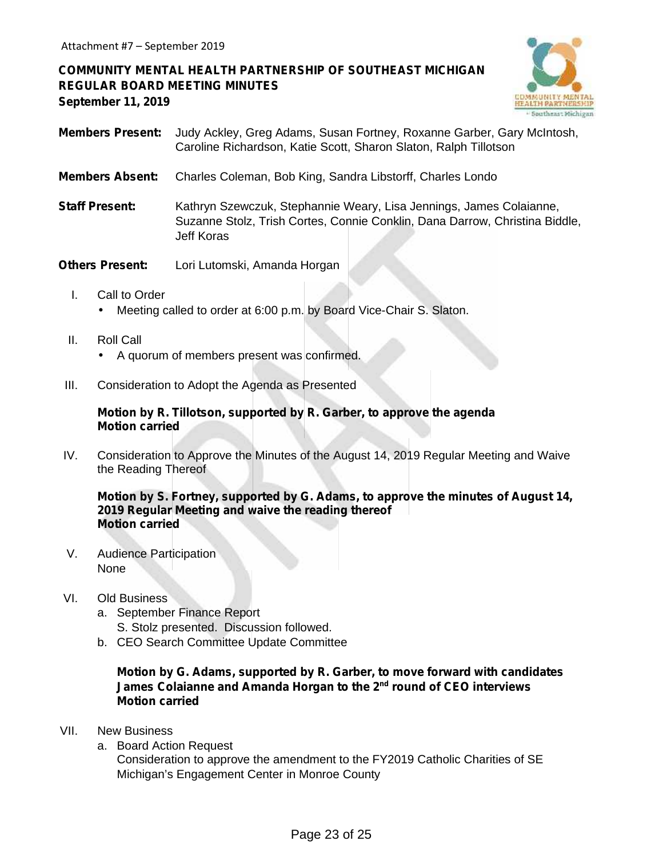**COMMUNITY MENTAL HEALTH PARTNERSHIP OF SOUTHEAST MICHIGAN REGULAR BOARD MEETING MINUTES September 11, 2019**



- **Members Present:** Judy Ackley, Greg Adams, Susan Fortney, Roxanne Garber, Gary McIntosh, Caroline Richardson, Katie Scott, Sharon Slaton, Ralph Tillotson
- **Members Absent:** Charles Coleman, Bob King, Sandra Libstorff, Charles Londo
- **Staff Present:** Kathryn Szewczuk, Stephannie Weary, Lisa Jennings, James Colaianne, Suzanne Stolz, Trish Cortes, Connie Conklin, Dana Darrow, Christina Biddle, Jeff Koras
- **Others Present:** Lori Lutomski, Amanda Horgan
	- I. Call to Order Meeting called to order at 6:00 p.m. by Board Vice-Chair S. Slaton.
	- II. Roll Call
		- A quorum of members present was confirmed.
- III. Consideration to Adopt the Agenda as Presented

#### **Motion by R. Tillotson, supported by R. Garber, to approve the agenda Motion carried**

IV. Consideration to Approve the Minutes of the August 14, 2019 Regular Meeting and Waive the Reading Thereof

**Motion by S. Fortney, supported by G. Adams, to approve the minutes of August 14, 2019 Regular Meeting and waive the reading thereof Motion carried**

V. Audience Participation None

#### VI. Old Business

- a. September Finance Report S. Stolz presented. Discussion followed.
- b. CEO Search Committee Update Committee

## **Motion by G. Adams, supported by R. Garber, to move forward with candidates James Colaianne and Amanda Horgan to the 2nd round of CEO interviews Motion carried**

- VII. New Business
	- a. Board Action Request

Consideration to approve the amendment to the FY2019 Catholic Charities of SE Michigan's Engagement Center in Monroe County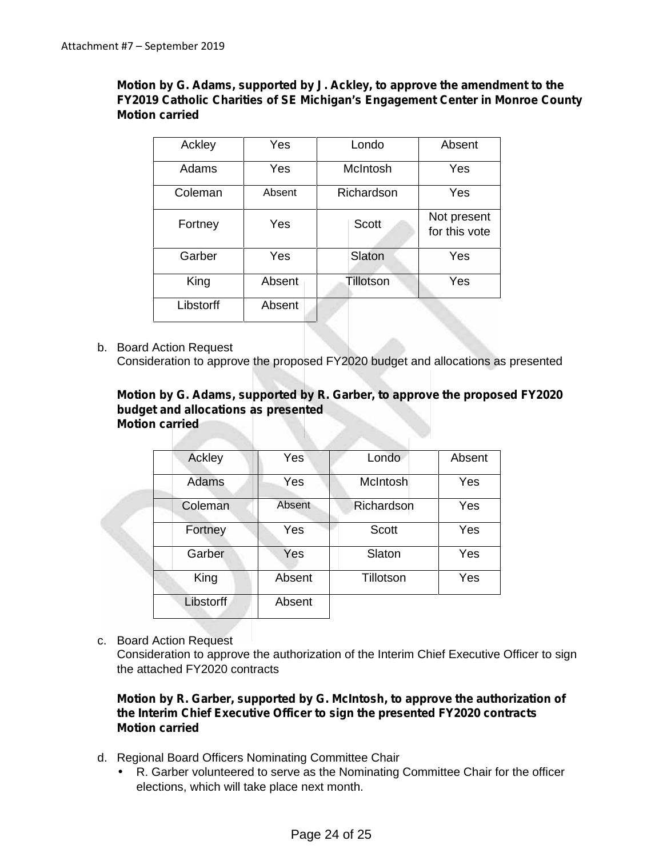# **Motion by G. Adams, supported by J. Ackley, to approve the amendment to the FY2019 Catholic Charities of SE Michigan's Engagement Center in Monroe County Motion carried**

| Ackley    | Yes    | Londo      | Absent                       |
|-----------|--------|------------|------------------------------|
| Adams     | Yes    | McIntosh   | Yes                          |
| Coleman   | Absent | Richardson | Yes                          |
| Fortney   | Yes    | Scott      | Not present<br>for this vote |
| Garber    | Yes    | Slaton     | Yes                          |
| King      | Absent | Tillotson  | Yes                          |
| Libstorff | Absent |            |                              |

b. Board Action Request

Consideration to approve the proposed FY2020 budget and allocations as presented

#### **Motion by G. Adams, supported by R. Garber, to approve the proposed FY2020 budget and allocations as presented Motion carried**

| Ackley           | Yes    | Londo      | Absent |
|------------------|--------|------------|--------|
| Adams            | Yes    | McIntosh   | Yes    |
| Coleman          | Absent | Richardson | Yes    |
| Fortney          | Yes    | Scott      | Yes    |
| Garber           | Yes    | Slaton     | Yes    |
| King             | Absent | Tillotson  | Yes    |
| <b>Libstorff</b> | Absent |            |        |

c. Board Action Request

Consideration to approve the authorization of the Interim Chief Executive Officer to sign the attached FY2020 contracts

## **Motion by R. Garber, supported by G. McIntosh, to approve the authorization of the Interim Chief Executive Officer to sign the presented FY2020 contracts Motion carried**

- d. Regional Board Officers Nominating Committee Chair
	- R. Garber volunteered to serve as the Nominating Committee Chair for the officer elections, which will take place next month.